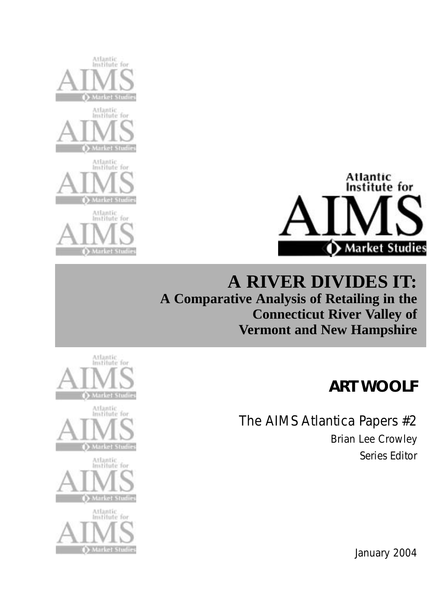



## **A RIVER DIVIDES IT: A Comparative Analysis of Retailing in the Connecticut River Valley of Vermont and New Hampshire**

## **ART WOOLF**

The AIMS Atlantica Papers #2 Brian Lee Crowley Series Editor



January 2004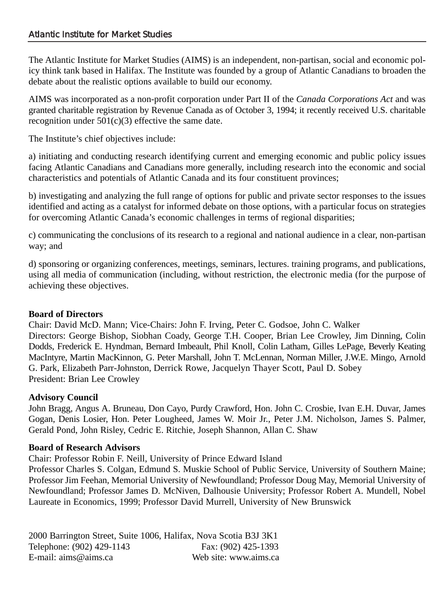#### Atlantic Institute for Market Studies

The Atlantic Institute for Market Studies (AIMS) is an independent, non-partisan, social and economic policy think tank based in Halifax. The Institute was founded by a group of Atlantic Canadians to broaden the debate about the realistic options available to build our economy.

AIMS was incorporated as a non-profit corporation under Part II of the *Canada Corporations Act* and was granted charitable registration by Revenue Canada as of October 3, 1994; it recently received U.S. charitable recognition under  $501(c)(3)$  effective the same date.

The Institute's chief objectives include:

a) initiating and conducting research identifying current and emerging economic and public policy issues facing Atlantic Canadians and Canadians more generally, including research into the economic and social characteristics and potentials of Atlantic Canada and its four constituent provinces;

b) investigating and analyzing the full range of options for public and private sector responses to the issues identified and acting as a catalyst for informed debate on those options, with a particular focus on strategies for overcoming Atlantic Canada's economic challenges in terms of regional disparities;

c) communicating the conclusions of its research to a regional and national audience in a clear, non-partisan way; and

d) sponsoring or organizing conferences, meetings, seminars, lectures. training programs, and publications, using all media of communication (including, without restriction, the electronic media (for the purpose of achieving these objectives.

#### **Board of Directors**

Chair: David McD. Mann; Vice-Chairs: John F. Irving, Peter C. Godsoe, John C. Walker Directors: George Bishop, Siobhan Coady, George T.H. Cooper, Brian Lee Crowley, Jim Dinning, Colin Dodds, Frederick E. Hyndman, Bernard Imbeault, Phil Knoll, Colin Latham, Gilles LePage, Beverly Keating MacIntyre, Martin MacKinnon, G. Peter Marshall, John T. McLennan, Norman Miller, J.W.E. Mingo, Arnold G. Park, Elizabeth Parr-Johnston, Derrick Rowe, Jacquelyn Thayer Scott, Paul D. Sobey President: Brian Lee Crowley

#### **Advisory Council**

John Bragg, Angus A. Bruneau, Don Cayo, Purdy Crawford, Hon. John C. Crosbie, Ivan E.H. Duvar, James Gogan, Denis Losier, Hon. Peter Lougheed, James W. Moir Jr., Peter J.M. Nicholson, James S. Palmer, Gerald Pond, John Risley, Cedric E. Ritchie, Joseph Shannon, Allan C. Shaw

#### **Board of Research Advisors**

Chair: Professor Robin F. Neill, University of Prince Edward Island

Professor Charles S. Colgan, Edmund S. Muskie School of Public Service, University of Southern Maine; Professor Jim Feehan, Memorial University of Newfoundland; Professor Doug May, Memorial University of Newfoundland; Professor James D. McNiven, Dalhousie University; Professor Robert A. Mundell, Nobel Laureate in Economics, 1999; Professor David Murrell, University of New Brunswick

2000 Barrington Street, Suite 1006, Halifax, Nova Scotia B3J 3K1 Telephone: (902) 429-1143 Fax: (902) 425-1393 E-mail: aims@aims.ca Web site: www.aims.ca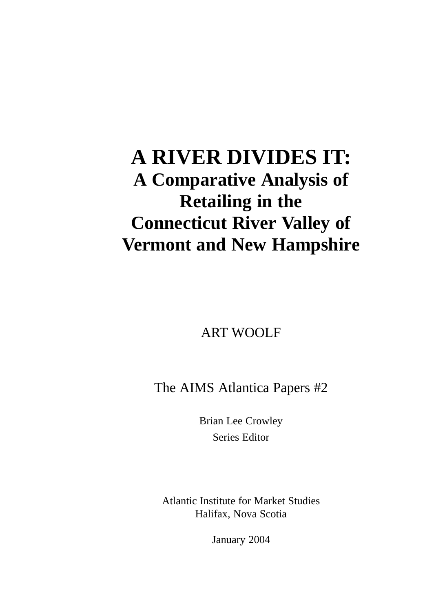## **A RIVER DIVIDES IT: A Comparative Analysis of Retailing in the Connecticut River Valley of Vermont and New Hampshire**

ART WOOLF

The AIMS Atlantica Papers #2

Brian Lee Crowley Series Editor

Atlantic Institute for Market Studies Halifax, Nova Scotia

January 2004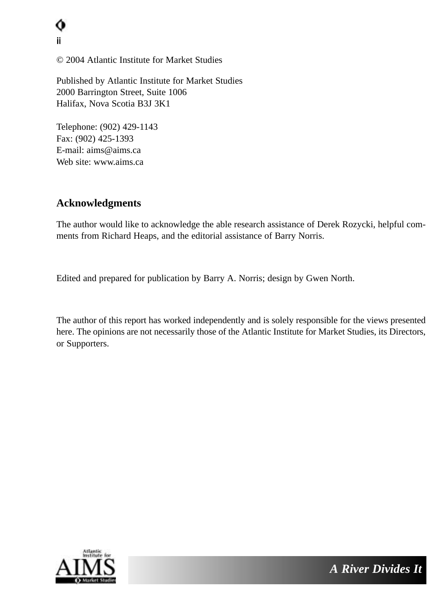ii

© 2004 Atlantic Institute for Market Studies

Published by Atlantic Institute for Market Studies 2000 Barrington Street, Suite 1006 Halifax, Nova Scotia B3J 3K1

Telephone: (902) 429-1143 Fax: (902) 425-1393 E-mail: aims@aims.ca Web site: www.aims.ca

#### **Acknowledgments**

The author would like to acknowledge the able research assistance of Derek Rozycki, helpful comments from Richard Heaps, and the editorial assistance of Barry Norris.

Edited and prepared for publication by Barry A. Norris; design by Gwen North.

The author of this report has worked independently and is solely responsible for the views presented here. The opinions are not necessarily those of the Atlantic Institute for Market Studies, its Directors, or Supporters.

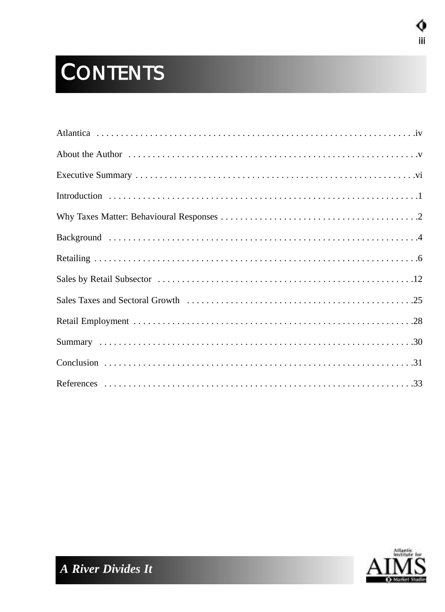# **CONTENTS**



о iii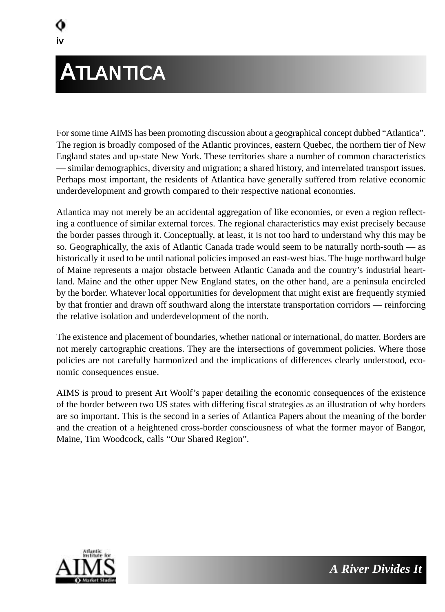# **ATLANTICA**

iv

For some time AIMS has been promoting discussion about a geographical concept dubbed "Atlantica". The region is broadly composed of the Atlantic provinces, eastern Quebec, the northern tier of New England states and up-state New York. These territories share a number of common characteristics — similar demographics, diversity and migration; a shared history, and interrelated transport issues. Perhaps most important, the residents of Atlantica have generally suffered from relative economic underdevelopment and growth compared to their respective national economies.

Atlantica may not merely be an accidental aggregation of like economies, or even a region reflecting a confluence of similar external forces. The regional characteristics may exist precisely because the border passes through it. Conceptually, at least, it is not too hard to understand why this may be so. Geographically, the axis of Atlantic Canada trade would seem to be naturally north-south — as historically it used to be until national policies imposed an east-west bias. The huge northward bulge of Maine represents a major obstacle between Atlantic Canada and the country's industrial heartland. Maine and the other upper New England states, on the other hand, are a peninsula encircled by the border. Whatever local opportunities for development that might exist are frequently stymied by that frontier and drawn off southward along the interstate transportation corridors — reinforcing the relative isolation and underdevelopment of the north.

The existence and placement of boundaries, whether national or international, do matter. Borders are not merely cartographic creations. They are the intersections of government policies. Where those policies are not carefully harmonized and the implications of differences clearly understood, economic consequences ensue.

AIMS is proud to present Art Woolf's paper detailing the economic consequences of the existence of the border between two US states with differing fiscal strategies as an illustration of why borders are so important. This is the second in a series of Atlantica Papers about the meaning of the border and the creation of a heightened cross-border consciousness of what the former mayor of Bangor, Maine, Tim Woodcock, calls "Our Shared Region".

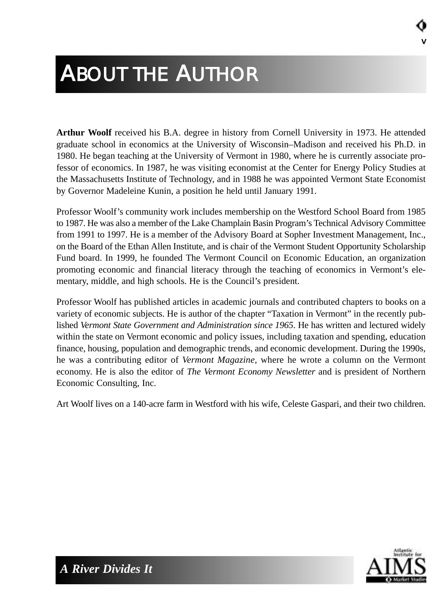# ABOUT THE AUTHOR

**Arthur Woolf** received his B.A. degree in history from Cornell University in 1973. He attended graduate school in economics at the University of Wisconsin–Madison and received his Ph.D. in 1980. He began teaching at the University of Vermont in 1980, where he is currently associate professor of economics. In 1987, he was visiting economist at the Center for Energy Policy Studies at the Massachusetts Institute of Technology, and in 1988 he was appointed Vermont State Economist by Governor Madeleine Kunin, a position he held until January 1991.

Professor Woolf's community work includes membership on the Westford School Board from 1985 to 1987. He was also a member of the Lake Champlain Basin Program's Technical Advisory Committee from 1991 to 1997. He is a member of the Advisory Board at Sopher Investment Management, Inc., on the Board of the Ethan Allen Institute, and is chair of the Vermont Student Opportunity Scholarship Fund board. In 1999, he founded The Vermont Council on Economic Education, an organization promoting economic and financial literacy through the teaching of economics in Vermont's elementary, middle, and high schools. He is the Council's president.

Professor Woolf has published articles in academic journals and contributed chapters to books on a variety of economic subjects. He is author of the chapter "Taxation in Vermont" in the recently published *Vermont State Government and Administration since 1965*. He has written and lectured widely within the state on Vermont economic and policy issues, including taxation and spending, education finance, housing, population and demographic trends, and economic development. During the 1990s, he was a contributing editor of *Vermont Magazine*, where he wrote a column on the Vermont economy. He is also the editor of *The Vermont Economy Newsletter* and is president of Northern Economic Consulting, Inc.

Art Woolf lives on a 140-acre farm in Westford with his wife, Celeste Gaspari, and their two children.



v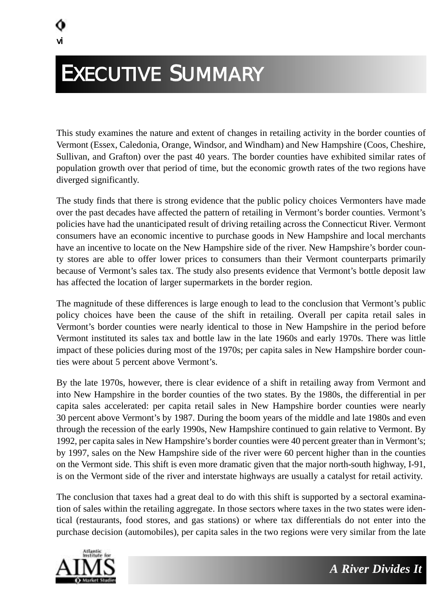# EXECUTIVE SUMMARY

This study examines the nature and extent of changes in retailing activity in the border counties of Vermont (Essex, Caledonia, Orange, Windsor, and Windham) and New Hampshire (Coos, Cheshire, Sullivan, and Grafton) over the past 40 years. The border counties have exhibited similar rates of population growth over that period of time, but the economic growth rates of the two regions have diverged significantly.

The study finds that there is strong evidence that the public policy choices Vermonters have made over the past decades have affected the pattern of retailing in Vermont's border counties. Vermont's policies have had the unanticipated result of driving retailing across the Connecticut River. Vermont consumers have an economic incentive to purchase goods in New Hampshire and local merchants have an incentive to locate on the New Hampshire side of the river. New Hampshire's border county stores are able to offer lower prices to consumers than their Vermont counterparts primarily because of Vermont's sales tax. The study also presents evidence that Vermont's bottle deposit law has affected the location of larger supermarkets in the border region.

The magnitude of these differences is large enough to lead to the conclusion that Vermont's public policy choices have been the cause of the shift in retailing. Overall per capita retail sales in Vermont's border counties were nearly identical to those in New Hampshire in the period before Vermont instituted its sales tax and bottle law in the late 1960s and early 1970s. There was little impact of these policies during most of the 1970s; per capita sales in New Hampshire border counties were about 5 percent above Vermont's.

By the late 1970s, however, there is clear evidence of a shift in retailing away from Vermont and into New Hampshire in the border counties of the two states. By the 1980s, the differential in per capita sales accelerated: per capita retail sales in New Hampshire border counties were nearly 30 percent above Vermont's by 1987. During the boom years of the middle and late 1980s and even through the recession of the early 1990s, New Hampshire continued to gain relative to Vermont. By 1992, per capita sales in New Hampshire's border counties were 40 percent greater than in Vermont's; by 1997, sales on the New Hampshire side of the river were 60 percent higher than in the counties on the Vermont side. This shift is even more dramatic given that the major north-south highway, I-91, is on the Vermont side of the river and interstate highways are usually a catalyst for retail activity.

The conclusion that taxes had a great deal to do with this shift is supported by a sectoral examination of sales within the retailing aggregate. In those sectors where taxes in the two states were identical (restaurants, food stores, and gas stations) or where tax differentials do not enter into the purchase decision (automobiles), per capita sales in the two regions were very similar from the late

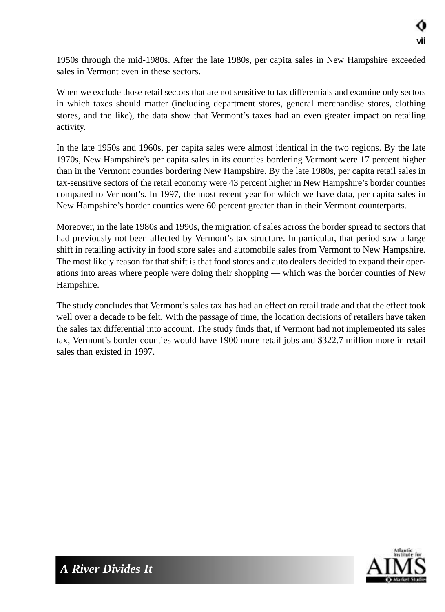1950s through the mid-1980s. After the late 1980s, per capita sales in New Hampshire exceeded sales in Vermont even in these sectors.

When we exclude those retail sectors that are not sensitive to tax differentials and examine only sectors in which taxes should matter (including department stores, general merchandise stores, clothing stores, and the like), the data show that Vermont's taxes had an even greater impact on retailing activity.

In the late 1950s and 1960s, per capita sales were almost identical in the two regions. By the late 1970s, New Hampshire's per capita sales in its counties bordering Vermont were 17 percent higher than in the Vermont counties bordering New Hampshire. By the late 1980s, per capita retail sales in tax-sensitive sectors of the retail economy were 43 percent higher in New Hampshire's border counties compared to Vermont's. In 1997, the most recent year for which we have data, per capita sales in New Hampshire's border counties were 60 percent greater than in their Vermont counterparts.

Moreover, in the late 1980s and 1990s, the migration of sales across the border spread to sectors that had previously not been affected by Vermont's tax structure. In particular, that period saw a large shift in retailing activity in food store sales and automobile sales from Vermont to New Hampshire. The most likely reason for that shift is that food stores and auto dealers decided to expand their operations into areas where people were doing their shopping — which was the border counties of New Hampshire.

The study concludes that Vermont's sales tax has had an effect on retail trade and that the effect took well over a decade to be felt. With the passage of time, the location decisions of retailers have taken the sales tax differential into account. The study finds that, if Vermont had not implemented its sales tax, Vermont's border counties would have 1900 more retail jobs and \$322.7 million more in retail sales than existed in 1997.

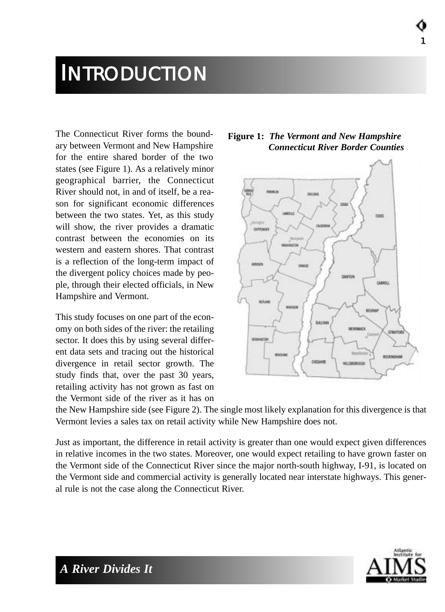## **INTRODUCTION**

The Connecticut River forms the boundary between Vermont and New Hampshire for the entire shared border of the two states (see Figure 1). As a relatively minor geographical barrier, the Connecticut River should not, in and of itself, be a reason for significant economic differences between the two states. Yet, as this study will show, the river provides a dramatic contrast between the economies on its western and eastern shores. That contrast is a reflection of the long-term impact of the divergent policy choices made by people, through their elected officials, in New Hampshire and Vermont.

This study focuses on one part of the economy on both sides of the river: the retailing sector. It does this by using several different data sets and tracing out the historical divergence in retail sector growth. The study finds that, over the past 30 years, retailing activity has not grown as fast on the Vermont side of the river as it has on



1



the New Hampshire side (see Figure 2). The single most likely explanation for this divergence is that Vermont levies a sales tax on retail activity while New Hampshire does not.

Just as important, the difference in retail activity is greater than one would expect given differences in relative incomes in the two states. Moreover, one would expect retailing to have grown faster on the Vermont side of the Connecticut River since the major north-south highway, I-91, is located on the Vermont side and commercial activity is generally located near interstate highways. This general rule is not the case along the Connecticut River.

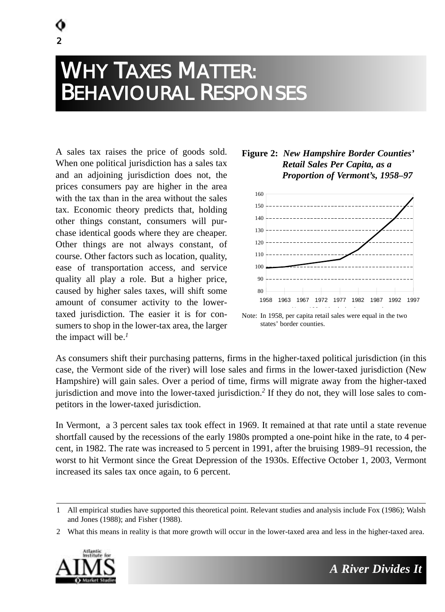## WHY TAXES MATTER: BEHAVIOURAL RESPONSES

A sales tax raises the price of goods sold. When one political jurisdiction has a sales tax and an adjoining jurisdiction does not, the prices consumers pay are higher in the area with the tax than in the area without the sales tax. Economic theory predicts that, holding other things constant, consumers will purchase identical goods where they are cheaper. Other things are not always constant, of course. Other factors such as location, quality, ease of transportation access, and service quality all play a role. But a higher price, caused by higher sales taxes, will shift some amount of consumer activity to the lowertaxed jurisdiction. The easier it is for consumers to shop in the lower-tax area, the larger the impact will be.*<sup>1</sup>*

 $\overline{2}$ 

#### **Figure 2:** *New Hampshire Border Counties' Retail Sales Per Capita, as a Proportion of Vermont's, 1958–97*



Note: In 1958, per capita retail sales were equal in the two states' border counties.

As consumers shift their purchasing patterns, firms in the higher-taxed political jurisdiction (in this case, the Vermont side of the river) will lose sales and firms in the lower-taxed jurisdiction (New Hampshire) will gain sales. Over a period of time, firms will migrate away from the higher-taxed jurisdiction and move into the lower-taxed jurisdiction.*<sup>2</sup>* If they do not, they will lose sales to competitors in the lower-taxed jurisdiction.

In Vermont, a 3 percent sales tax took effect in 1969. It remained at that rate until a state revenue shortfall caused by the recessions of the early 1980s prompted a one-point hike in the rate, to 4 percent, in 1982. The rate was increased to 5 percent in 1991, after the bruising 1989–91 recession, the worst to hit Vermont since the Great Depression of the 1930s. Effective October 1, 2003, Vermont increased its sales tax once again, to 6 percent.

<sup>2</sup> What this means in reality is that more growth will occur in the lower-taxed area and less in the higher-taxed area.



<sup>1</sup> All empirical studies have supported this theoretical point. Relevant studies and analysis include Fox (1986); Walsh and Jones (1988); and Fisher (1988).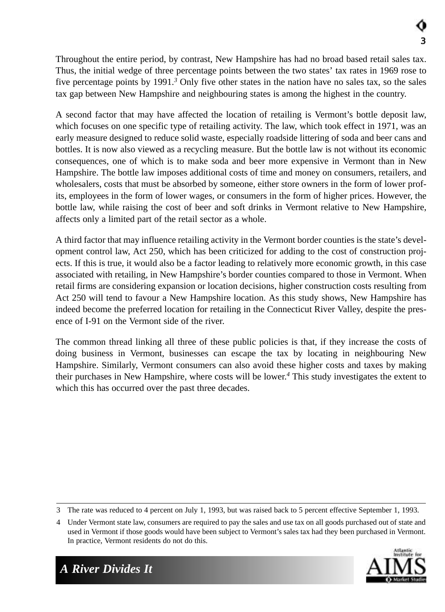Throughout the entire period, by contrast, New Hampshire has had no broad based retail sales tax. Thus, the initial wedge of three percentage points between the two states' tax rates in 1969 rose to five percentage points by 1991.*<sup>3</sup>* Only five other states in the nation have no sales tax, so the sales tax gap between New Hampshire and neighbouring states is among the highest in the country.

A second factor that may have affected the location of retailing is Vermont's bottle deposit law, which focuses on one specific type of retailing activity. The law, which took effect in 1971, was an early measure designed to reduce solid waste, especially roadside littering of soda and beer cans and bottles. It is now also viewed as a recycling measure. But the bottle law is not without its economic consequences, one of which is to make soda and beer more expensive in Vermont than in New Hampshire. The bottle law imposes additional costs of time and money on consumers, retailers, and wholesalers, costs that must be absorbed by someone, either store owners in the form of lower profits, employees in the form of lower wages, or consumers in the form of higher prices. However, the bottle law, while raising the cost of beer and soft drinks in Vermont relative to New Hampshire, affects only a limited part of the retail sector as a whole.

A third factor that may influence retailing activity in the Vermont border counties is the state's development control law, Act 250, which has been criticized for adding to the cost of construction projects. If this is true, it would also be a factor leading to relatively more economic growth, in this case associated with retailing, in New Hampshire's border counties compared to those in Vermont. When retail firms are considering expansion or location decisions, higher construction costs resulting from Act 250 will tend to favour a New Hampshire location. As this study shows, New Hampshire has indeed become the preferred location for retailing in the Connecticut River Valley, despite the presence of I-91 on the Vermont side of the river.

The common thread linking all three of these public policies is that, if they increase the costs of doing business in Vermont, businesses can escape the tax by locating in neighbouring New Hampshire. Similarly, Vermont consumers can also avoid these higher costs and taxes by making their purchases in New Hampshire, where costs will be lower.*<sup>4</sup>* This study investigates the extent to which this has occurred over the past three decades.

<sup>4</sup> Under Vermont state law, consumers are required to pay the sales and use tax on all goods purchased out of state and used in Vermont if those goods would have been subject to Vermont's sales tax had they been purchased in Vermont. In practice, Vermont residents do not do this.



<sup>3</sup> The rate was reduced to 4 percent on July 1, 1993, but was raised back to 5 percent effective September 1, 1993.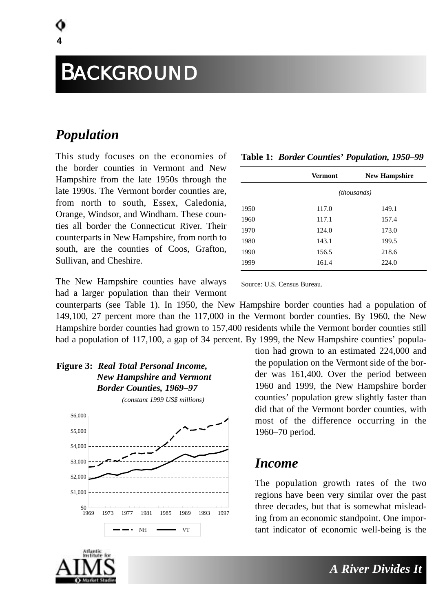### *Population*

4

This study focuses on the economies of the border counties in Vermont and New Hampshire from the late 1950s through the late 1990s. The Vermont border counties are, from north to south, Essex, Caledonia, Orange, Windsor, and Windham. These counties all border the Connecticut River. Their counterparts in New Hampshire, from north to south, are the counties of Coos, Grafton, Sullivan, and Cheshire.

|      | -                  |                      |  |  |
|------|--------------------|----------------------|--|--|
|      | <b>Vermont</b>     | <b>New Hampshire</b> |  |  |
|      | <i>(thousands)</i> |                      |  |  |
| 1950 | 117.0              | 149.1                |  |  |
| 1960 | 117.1              | 157.4                |  |  |
| 1970 | 124.0              | 173.0                |  |  |
| 1980 | 143.1              | 199.5                |  |  |
| 1990 | 156.5              | 218.6                |  |  |
| 1999 | 161.4              | 224.0                |  |  |
|      |                    |                      |  |  |

**Table 1:** *Border Counties' Population, 1950–99*

The New Hampshire counties have always had a larger population than their Vermont

Source: U.S. Census Bureau.

counterparts (see Table 1). In 1950, the New Hampshire border counties had a population of 149,100, 27 percent more than the 117,000 in the Vermont border counties. By 1960, the New Hampshire border counties had grown to 157,400 residents while the Vermont border counties still had a population of 117,100, a gap of 34 percent. By 1999, the New Hampshire counties' popula-

**Figure 3:** *Real Total Personal Income, New Hampshire and Vermont Border Counties, 1969–97*



tion had grown to an estimated 224,000 and the population on the Vermont side of the border was 161,400. Over the period between 1960 and 1999, the New Hampshire border counties' population grew slightly faster than did that of the Vermont border counties, with most of the difference occurring in the 1960–70 period.

### *Income*

The population growth rates of the two regions have been very similar over the past three decades, but that is somewhat misleading from an economic standpoint. One important indicator of economic well-being is the

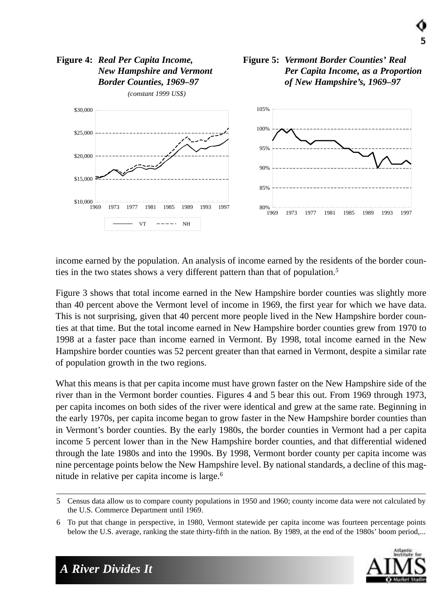

income earned by the population. An analysis of income earned by the residents of the border counties in the two states shows a very different pattern than that of population.*<sup>5</sup>*

Figure 3 shows that total income earned in the New Hampshire border counties was slightly more than 40 percent above the Vermont level of income in 1969, the first year for which we have data. This is not surprising, given that 40 percent more people lived in the New Hampshire border counties at that time. But the total income earned in New Hampshire border counties grew from 1970 to 1998 at a faster pace than income earned in Vermont. By 1998, total income earned in the New Hampshire border counties was 52 percent greater than that earned in Vermont, despite a similar rate of population growth in the two regions.

What this means is that per capita income must have grown faster on the New Hampshire side of the river than in the Vermont border counties. Figures 4 and 5 bear this out. From 1969 through 1973, per capita incomes on both sides of the river were identical and grew at the same rate. Beginning in the early 1970s, per capita income began to grow faster in the New Hampshire border counties than in Vermont's border counties. By the early 1980s, the border counties in Vermont had a per capita income 5 percent lower than in the New Hampshire border counties, and that differential widened through the late 1980s and into the 1990s. By 1998, Vermont border county per capita income was nine percentage points below the New Hampshire level. By national standards, a decline of this magnitude in relative per capita income is large.*<sup>6</sup>*

<sup>6</sup> To put that change in perspective, in 1980, Vermont statewide per capita income was fourteen percentage points below the U.S. average, ranking the state thirty-fifth in the nation. By 1989, at the end of the 1980s' boom period,...



*Per Capita Income, as a Proportion of New Hampshire's, 1969–97*

<sup>5</sup> Census data allow us to compare county populations in 1950 and 1960; county income data were not calculated by the U.S. Commerce Department until 1969.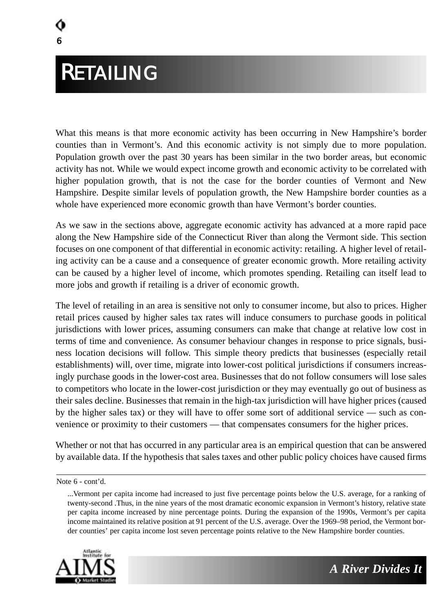# RETAILING

6

What this means is that more economic activity has been occurring in New Hampshire's border counties than in Vermont's. And this economic activity is not simply due to more population. Population growth over the past 30 years has been similar in the two border areas, but economic activity has not. While we would expect income growth and economic activity to be correlated with higher population growth, that is not the case for the border counties of Vermont and New Hampshire. Despite similar levels of population growth, the New Hampshire border counties as a whole have experienced more economic growth than have Vermont's border counties.

As we saw in the sections above, aggregate economic activity has advanced at a more rapid pace along the New Hampshire side of the Connecticut River than along the Vermont side. This section focuses on one component of that differential in economic activity: retailing. A higher level of retailing activity can be a cause and a consequence of greater economic growth. More retailing activity can be caused by a higher level of income, which promotes spending. Retailing can itself lead to more jobs and growth if retailing is a driver of economic growth.

The level of retailing in an area is sensitive not only to consumer income, but also to prices. Higher retail prices caused by higher sales tax rates will induce consumers to purchase goods in political jurisdictions with lower prices, assuming consumers can make that change at relative low cost in terms of time and convenience. As consumer behaviour changes in response to price signals, business location decisions will follow. This simple theory predicts that businesses (especially retail establishments) will, over time, migrate into lower-cost political jurisdictions if consumers increasingly purchase goods in the lower-cost area. Businesses that do not follow consumers will lose sales to competitors who locate in the lower-cost jurisdiction or they may eventually go out of business as their sales decline. Businesses that remain in the high-tax jurisdiction will have higher prices (caused by the higher sales tax) or they will have to offer some sort of additional service — such as convenience or proximity to their customers — that compensates consumers for the higher prices.

Whether or not that has occurred in any particular area is an empirical question that can be answered by available data. If the hypothesis that sales taxes and other public policy choices have caused firms

<sup>...</sup>Vermont per capita income had increased to just five percentage points below the U.S. average, for a ranking of twenty-second .Thus, in the nine years of the most dramatic economic expansion in Vermont's history, relative state per capita income increased by nine percentage points. During the expansion of the 1990s, Vermont's per capita income maintained its relative position at 91 percent of the U.S. average. Over the 1969–98 period, the Vermont border counties' per capita income lost seven percentage points relative to the New Hampshire border counties.





Note 6 - cont'd.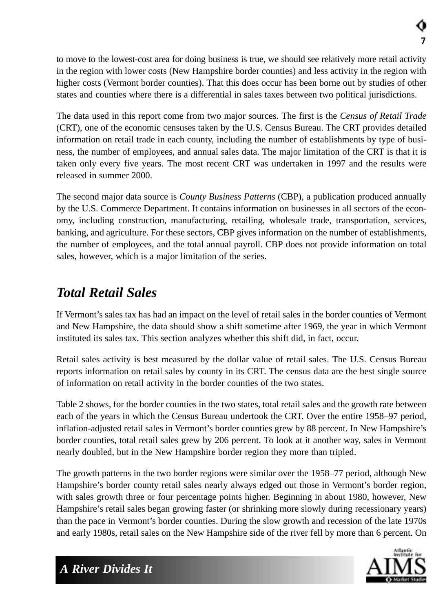to move to the lowest-cost area for doing business is true, we should see relatively more retail activity in the region with lower costs (New Hampshire border counties) and less activity in the region with higher costs (Vermont border counties). That this does occur has been borne out by studies of other states and counties where there is a differential in sales taxes between two political jurisdictions.

The data used in this report come from two major sources. The first is the *Census of Retail Trade* (CRT), one of the economic censuses taken by the U.S. Census Bureau. The CRT provides detailed information on retail trade in each county, including the number of establishments by type of business, the number of employees, and annual sales data. The major limitation of the CRT is that it is taken only every five years. The most recent CRT was undertaken in 1997 and the results were released in summer 2000.

The second major data source is *County Business Patterns* (CBP), a publication produced annually by the U.S. Commerce Department. It contains information on businesses in all sectors of the economy, including construction, manufacturing, retailing, wholesale trade, transportation, services, banking, and agriculture. For these sectors, CBP gives information on the number of establishments, the number of employees, and the total annual payroll. CBP does not provide information on total sales, however, which is a major limitation of the series.

## *Total Retail Sales*

If Vermont's sales tax has had an impact on the level of retail sales in the border counties of Vermont and New Hampshire, the data should show a shift sometime after 1969, the year in which Vermont instituted its sales tax. This section analyzes whether this shift did, in fact, occur.

Retail sales activity is best measured by the dollar value of retail sales. The U.S. Census Bureau reports information on retail sales by county in its CRT. The census data are the best single source of information on retail activity in the border counties of the two states.

Table 2 shows, for the border counties in the two states, total retail sales and the growth rate between each of the years in which the Census Bureau undertook the CRT. Over the entire 1958–97 period, inflation-adjusted retail sales in Vermont's border counties grew by 88 percent. In New Hampshire's border counties, total retail sales grew by 206 percent. To look at it another way, sales in Vermont nearly doubled, but in the New Hampshire border region they more than tripled.

The growth patterns in the two border regions were similar over the 1958–77 period, although New Hampshire's border county retail sales nearly always edged out those in Vermont's border region, with sales growth three or four percentage points higher. Beginning in about 1980, however, New Hampshire's retail sales began growing faster (or shrinking more slowly during recessionary years) than the pace in Vermont's border counties. During the slow growth and recession of the late 1970s and early 1980s, retail sales on the New Hampshire side of the river fell by more than 6 percent. On

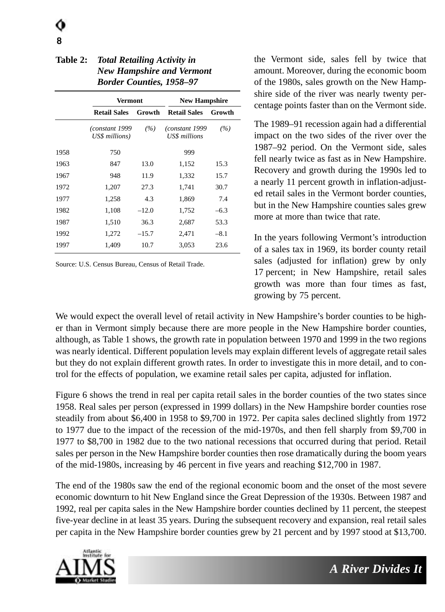| <b>Table 2: Total Retailing Activity in</b> |  |  |
|---------------------------------------------|--|--|
| <b>New Hampshire and Vermont</b>            |  |  |
| <b>Border Counties, 1958–97</b>             |  |  |
|                                             |  |  |

|      | Vermont                           |         | <b>New Hampshire</b>             |        |
|------|-----------------------------------|---------|----------------------------------|--------|
|      | <b>Retail Sales</b>               | Growth  | <b>Retail Sales</b>              | Growth |
|      | (constant 1999)<br>US\$ millions) | (%)     | (constant 1999)<br>US\$ millions | (%)    |
| 1958 | 750                               |         | 999                              |        |
| 1963 | 847                               | 13.0    | 1,152                            | 15.3   |
| 1967 | 948                               | 11.9    | 1,332                            | 15.7   |
| 1972 | 1,207                             | 27.3    | 1,741                            | 30.7   |
| 1977 | 1,258                             | 4.3     | 1,869                            | 7.4    |
| 1982 | 1,108                             | $-12.0$ | 1,752                            | $-6.3$ |
| 1987 | 1,510                             | 36.3    | 2,687                            | 53.3   |
| 1992 | 1,272                             | $-15.7$ | 2,471                            | $-8.1$ |
| 1997 | 1,409                             | 10.7    | 3,053                            | 23.6   |

Source: U.S. Census Bureau, Census of Retail Trade.

the Vermont side, sales fell by twice that amount. Moreover, during the economic boom of the 1980s, sales growth on the New Hampshire side of the river was nearly twenty percentage points faster than on the Vermont side.

The 1989–91 recession again had a differential impact on the two sides of the river over the 1987–92 period. On the Vermont side, sales fell nearly twice as fast as in New Hampshire. Recovery and growth during the 1990s led to a nearly 11 percent growth in inflation-adjusted retail sales in the Vermont border counties, but in the New Hampshire counties sales grew more at more than twice that rate.

In the years following Vermont's introduction of a sales tax in 1969, its border county retail sales (adjusted for inflation) grew by only 17 percent; in New Hampshire, retail sales growth was more than four times as fast, growing by 75 percent.

We would expect the overall level of retail activity in New Hampshire's border counties to be higher than in Vermont simply because there are more people in the New Hampshire border counties, although, as Table 1 shows, the growth rate in population between 1970 and 1999 in the two regions was nearly identical. Different population levels may explain different levels of aggregate retail sales but they do not explain different growth rates. In order to investigate this in more detail, and to control for the effects of population, we examine retail sales per capita, adjusted for inflation.

Figure 6 shows the trend in real per capita retail sales in the border counties of the two states since 1958. Real sales per person (expressed in 1999 dollars) in the New Hampshire border counties rose steadily from about \$6,400 in 1958 to \$9,700 in 1972. Per capita sales declined slightly from 1972 to 1977 due to the impact of the recession of the mid-1970s, and then fell sharply from \$9,700 in 1977 to \$8,700 in 1982 due to the two national recessions that occurred during that period. Retail sales per person in the New Hampshire border counties then rose dramatically during the boom years of the mid-1980s, increasing by 46 percent in five years and reaching \$12,700 in 1987.

The end of the 1980s saw the end of the regional economic boom and the onset of the most severe economic downturn to hit New England since the Great Depression of the 1930s. Between 1987 and 1992, real per capita sales in the New Hampshire border counties declined by 11 percent, the steepest five-year decline in at least 35 years. During the subsequent recovery and expansion, real retail sales per capita in the New Hampshire border counties grew by 21 percent and by 1997 stood at \$13,700.

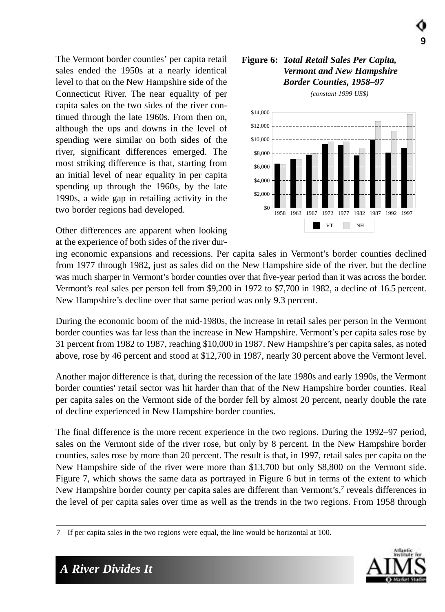The Vermont border counties' per capita retail sales ended the 1950s at a nearly identical level to that on the New Hampshire side of the Connecticut River. The near equality of per capita sales on the two sides of the river continued through the late 1960s. From then on, although the ups and downs in the level of spending were similar on both sides of the river, significant differences emerged. The most striking difference is that, starting from an initial level of near equality in per capita spending up through the 1960s, by the late 1990s, a wide gap in retailing activity in the two border regions had developed.

Other differences are apparent when looking at the experience of both sides of the river dur-

ing economic expansions and recessions. Per capita sales in Vermont's border counties declined from 1977 through 1982, just as sales did on the New Hampshire side of the river, but the decline was much sharper in Vermont's border counties over that five-year period than it was across the border. Vermont's real sales per person fell from \$9,200 in 1972 to \$7,700 in 1982, a decline of 16.5 percent. New Hampshire's decline over that same period was only 9.3 percent.

During the economic boom of the mid-1980s, the increase in retail sales per person in the Vermont border counties was far less than the increase in New Hampshire. Vermont's per capita sales rose by 31 percent from 1982 to 1987, reaching \$10,000 in 1987. New Hampshire's per capita sales, as noted above, rose by 46 percent and stood at \$12,700 in 1987, nearly 30 percent above the Vermont level.

Another major difference is that, during the recession of the late 1980s and early 1990s, the Vermont border counties' retail sector was hit harder than that of the New Hampshire border counties. Real per capita sales on the Vermont side of the border fell by almost 20 percent, nearly double the rate of decline experienced in New Hampshire border counties.

The final difference is the more recent experience in the two regions. During the 1992–97 period, sales on the Vermont side of the river rose, but only by 8 percent. In the New Hampshire border counties, sales rose by more than 20 percent. The result is that, in 1997, retail sales per capita on the New Hampshire side of the river were more than \$13,700 but only \$8,800 on the Vermont side. Figure 7, which shows the same data as portrayed in Figure 6 but in terms of the extent to which New Hampshire border county per capita sales are different than Vermont's,*<sup>7</sup>* reveals differences in the level of per capita sales over time as well as the trends in the two regions. From 1958 through

#### **Figure 6:** *Total Retail Sales Per Capita, Vermont and New Hampshire Border Counties, 1958–97*

9



*(constant 1999 US\$)* 



<sup>7</sup> If per capita sales in the two regions were equal, the line would be horizontal at 100.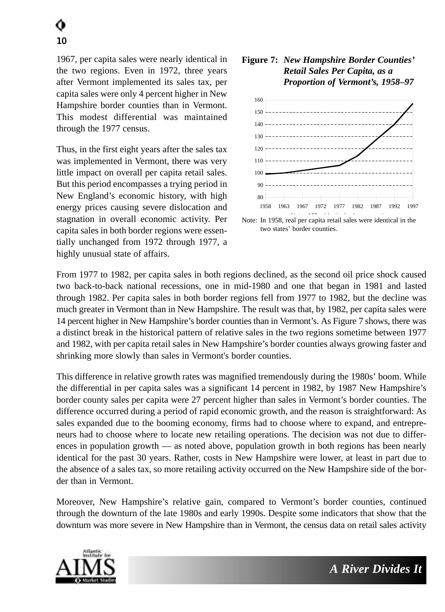1967, per capita sales were nearly identical in the two regions. Even in 1972, three years after Vermont implemented its sales tax, per capita sales were only 4 percent higher in New Hampshire border counties than in Vermont. This modest differential was maintained through the 1977 census.

Thus, in the first eight years after the sales tax was implemented in Vermont, there was very little impact on overall per capita retail sales. But this period encompasses a trying period in New England's economic history, with high energy prices causing severe dislocation and stagnation in overall economic activity. Per capita sales in both border regions were essentially unchanged from 1972 through 1977, a highly unusual state of affairs.

#### **Figure 7:** *New Hampshire Border Counties' Retail Sales Per Capita, as a Proportion of Vermont's, 1958–97*



Note: In 1958, real per capita retail sales were identical in the two states' border counties.

From 1977 to 1982, per capita sales in both regions declined, as the second oil price shock caused two back-to-back national recessions, one in mid-1980 and one that began in 1981 and lasted through 1982. Per capita sales in both border regions fell from 1977 to 1982, but the decline was much greater in Vermont than in New Hampshire. The result was that, by 1982, per capita sales were 14 percent higher in New Hampshire's border counties than in Vermont's. As Figure 7 shows, there was a distinct break in the historical pattern of relative sales in the two regions sometime between 1977 and 1982, with per capita retail sales in New Hampshire's border counties always growing faster and shrinking more slowly than sales in Vermont's border counties.

This difference in relative growth rates was magnified tremendously during the 1980s' boom. While the differential in per capita sales was a significant 14 percent in 1982, by 1987 New Hampshire's border county sales per capita were 27 percent higher than sales in Vermont's border counties. The difference occurred during a period of rapid economic growth, and the reason is straightforward: As sales expanded due to the booming economy, firms had to choose where to expand, and entrepreneurs had to choose where to locate new retailing operations. The decision was not due to differences in population growth — as noted above, population growth in both regions has been nearly identical for the past 30 years. Rather, costs in New Hampshire were lower, at least in part due to the absence of a sales tax, so more retailing activity occurred on the New Hampshire side of the border than in Vermont.

Moreover, New Hampshire's relative gain, compared to Vermont's border counties, continued through the downturn of the late 1980s and early 1990s. Despite some indicators that show that the downturn was more severe in New Hampshire than in Vermont, the census data on retail sales activity

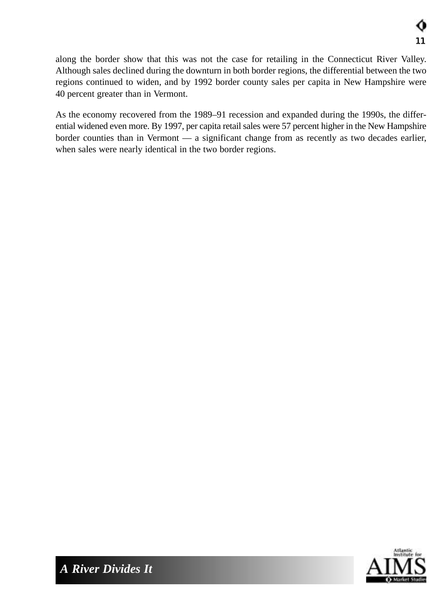along the border show that this was not the case for retailing in the Connecticut River Valley. Although sales declined during the downturn in both border regions, the differential between the two regions continued to widen, and by 1992 border county sales per capita in New Hampshire were 40 percent greater than in Vermont.

As the economy recovered from the 1989–91 recession and expanded during the 1990s, the differential widened even more. By 1997, per capita retail sales were 57 percent higher in the New Hampshire border counties than in Vermont — a significant change from as recently as two decades earlier, when sales were nearly identical in the two border regions.

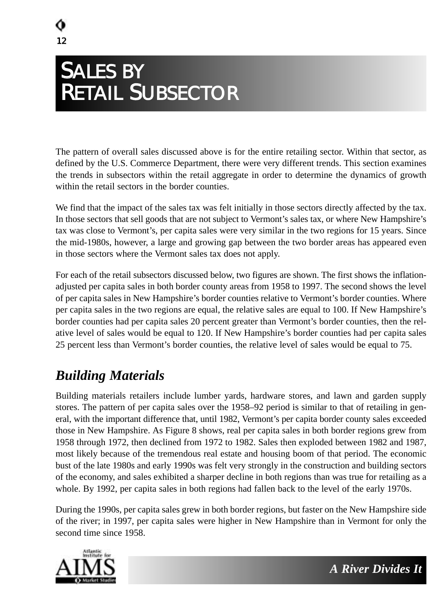## SALES BY RETAIL SUBSECTOR

The pattern of overall sales discussed above is for the entire retailing sector. Within that sector, as defined by the U.S. Commerce Department, there were very different trends. This section examines the trends in subsectors within the retail aggregate in order to determine the dynamics of growth within the retail sectors in the border counties.

We find that the impact of the sales tax was felt initially in those sectors directly affected by the tax. In those sectors that sell goods that are not subject to Vermont's sales tax, or where New Hampshire's tax was close to Vermont's, per capita sales were very similar in the two regions for 15 years. Since the mid-1980s, however, a large and growing gap between the two border areas has appeared even in those sectors where the Vermont sales tax does not apply.

For each of the retail subsectors discussed below, two figures are shown. The first shows the inflationadjusted per capita sales in both border county areas from 1958 to 1997. The second shows the level of per capita sales in New Hampshire's border counties relative to Vermont's border counties. Where per capita sales in the two regions are equal, the relative sales are equal to 100. If New Hampshire's border counties had per capita sales 20 percent greater than Vermont's border counties, then the relative level of sales would be equal to 120. If New Hampshire's border counties had per capita sales 25 percent less than Vermont's border counties, the relative level of sales would be equal to 75.

## *Building Materials*

Building materials retailers include lumber yards, hardware stores, and lawn and garden supply stores. The pattern of per capita sales over the 1958–92 period is similar to that of retailing in general, with the important difference that, until 1982, Vermont's per capita border county sales exceeded those in New Hampshire. As Figure 8 shows, real per capita sales in both border regions grew from 1958 through 1972, then declined from 1972 to 1982. Sales then exploded between 1982 and 1987, most likely because of the tremendous real estate and housing boom of that period. The economic bust of the late 1980s and early 1990s was felt very strongly in the construction and building sectors of the economy, and sales exhibited a sharper decline in both regions than was true for retailing as a whole. By 1992, per capita sales in both regions had fallen back to the level of the early 1970s.

During the 1990s, per capita sales grew in both border regions, but faster on the New Hampshire side of the river; in 1997, per capita sales were higher in New Hampshire than in Vermont for only the second time since 1958.

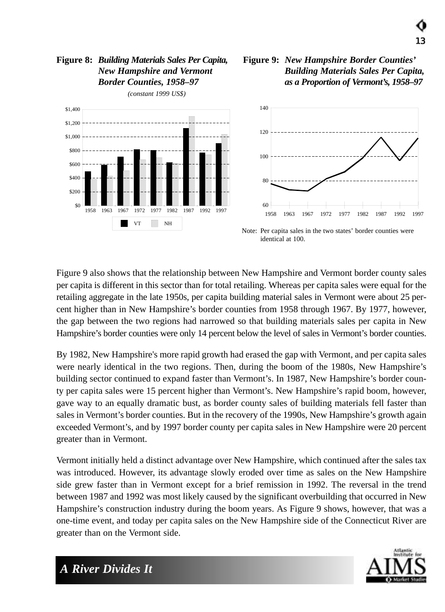#### **Figure 8:** *Building Materials Sales Per Capita, New Hampshire and Vermont Border Counties, 1958–97*



*(constant 1999 US\$)*

#### **Figure 9:** *New Hampshire Border Counties' Building Materials Sales Per Capita, as a Proportion of Vermont's, 1958–97*

13



identical at 100.

Figure 9 also shows that the relationship between New Hampshire and Vermont border county sales per capita is different in this sector than for total retailing. Whereas per capita sales were equal for the retailing aggregate in the late 1950s, per capita building material sales in Vermont were about 25 percent higher than in New Hampshire's border counties from 1958 through 1967. By 1977, however, the gap between the two regions had narrowed so that building materials sales per capita in New Hampshire's border counties were only 14 percent below the level of sales in Vermont's border counties.

By 1982, New Hampshire's more rapid growth had erased the gap with Vermont, and per capita sales were nearly identical in the two regions. Then, during the boom of the 1980s, New Hampshire's building sector continued to expand faster than Vermont's. In 1987, New Hampshire's border county per capita sales were 15 percent higher than Vermont's. New Hampshire's rapid boom, however, gave way to an equally dramatic bust, as border county sales of building materials fell faster than sales in Vermont's border counties. But in the recovery of the 1990s, New Hampshire's growth again exceeded Vermont's, and by 1997 border county per capita sales in New Hampshire were 20 percent greater than in Vermont.

Vermont initially held a distinct advantage over New Hampshire, which continued after the sales tax was introduced. However, its advantage slowly eroded over time as sales on the New Hampshire side grew faster than in Vermont except for a brief remission in 1992. The reversal in the trend between 1987 and 1992 was most likely caused by the significant overbuilding that occurred in New Hampshire's construction industry during the boom years. As Figure 9 shows, however, that was a one-time event, and today per capita sales on the New Hampshire side of the Connecticut River are greater than on the Vermont side.

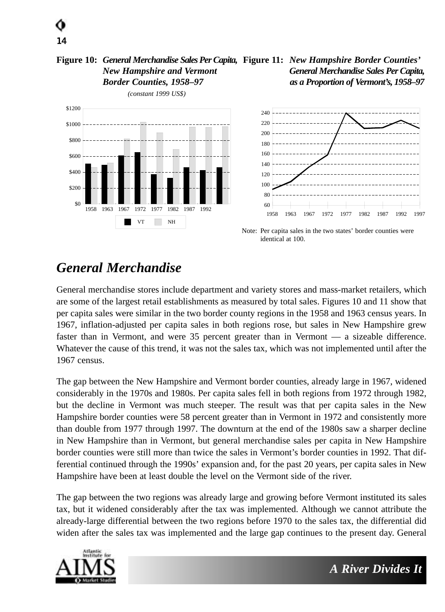#### **Figure 10:** *General Merchandise Sales Per Capita,* **Figure 11:** *New Hampshire Border Counties' New Hampshire and Vermont Border Counties, 1958–97 General Merchandise Sales Per Capita, as a Proportion of Vermont's, 1958–97*





Note: Per capita sales in the two states' border counties were identical at 100.

## *General Merchandise*

14

General merchandise stores include department and variety stores and mass-market retailers, which are some of the largest retail establishments as measured by total sales. Figures 10 and 11 show that per capita sales were similar in the two border county regions in the 1958 and 1963 census years. In 1967, inflation-adjusted per capita sales in both regions rose, but sales in New Hampshire grew faster than in Vermont, and were 35 percent greater than in Vermont — a sizeable difference. Whatever the cause of this trend, it was not the sales tax, which was not implemented until after the 1967 census.

The gap between the New Hampshire and Vermont border counties, already large in 1967, widened considerably in the 1970s and 1980s. Per capita sales fell in both regions from 1972 through 1982, but the decline in Vermont was much steeper. The result was that per capita sales in the New Hampshire border counties were 58 percent greater than in Vermont in 1972 and consistently more than double from 1977 through 1997. The downturn at the end of the 1980s saw a sharper decline in New Hampshire than in Vermont, but general merchandise sales per capita in New Hampshire border counties were still more than twice the sales in Vermont's border counties in 1992. That differential continued through the 1990s' expansion and, for the past 20 years, per capita sales in New Hampshire have been at least double the level on the Vermont side of the river.

The gap between the two regions was already large and growing before Vermont instituted its sales tax, but it widened considerably after the tax was implemented. Although we cannot attribute the already-large differential between the two regions before 1970 to the sales tax, the differential did widen after the sales tax was implemented and the large gap continues to the present day. General

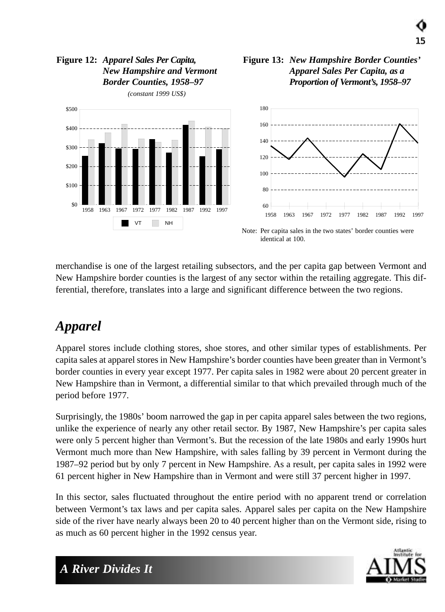#### **Figure 12:** *Apparel Sales Per Capita, New Hampshire and Vermont Border Counties, 1958–97*

*(constant 1999 US\$)*





15



Note: Per capita sales in the two states' border counties were identical at 100.

merchandise is one of the largest retailing subsectors, and the per capita gap between Vermont and New Hampshire border counties is the largest of any sector within the retailing aggregate. This differential, therefore, translates into a large and significant difference between the two regions.

## *Apparel*

Apparel stores include clothing stores, shoe stores, and other similar types of establishments. Per capita sales at apparel stores in New Hampshire's border counties have been greater than in Vermont's border counties in every year except 1977. Per capita sales in 1982 were about 20 percent greater in New Hampshire than in Vermont, a differential similar to that which prevailed through much of the period before 1977.

Surprisingly, the 1980s' boom narrowed the gap in per capita apparel sales between the two regions, unlike the experience of nearly any other retail sector. By 1987, New Hampshire's per capita sales were only 5 percent higher than Vermont's. But the recession of the late 1980s and early 1990s hurt Vermont much more than New Hampshire, with sales falling by 39 percent in Vermont during the 1987–92 period but by only 7 percent in New Hampshire. As a result, per capita sales in 1992 were 61 percent higher in New Hampshire than in Vermont and were still 37 percent higher in 1997.

In this sector, sales fluctuated throughout the entire period with no apparent trend or correlation between Vermont's tax laws and per capita sales. Apparel sales per capita on the New Hampshire side of the river have nearly always been 20 to 40 percent higher than on the Vermont side, rising to as much as 60 percent higher in the 1992 census year.

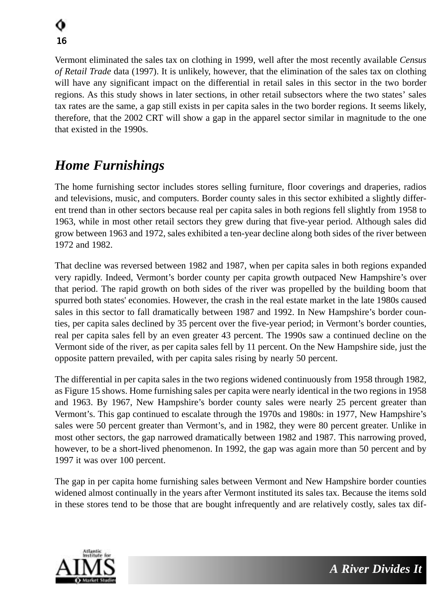Vermont eliminated the sales tax on clothing in 1999, well after the most recently available *Census of Retail Trade* data (1997). It is unlikely, however, that the elimination of the sales tax on clothing will have any significant impact on the differential in retail sales in this sector in the two border regions. As this study shows in later sections, in other retail subsectors where the two states' sales tax rates are the same, a gap still exists in per capita sales in the two border regions. It seems likely, therefore, that the 2002 CRT will show a gap in the apparel sector similar in magnitude to the one that existed in the 1990s.

## *Home Furnishings*

The home furnishing sector includes stores selling furniture, floor coverings and draperies, radios and televisions, music, and computers. Border county sales in this sector exhibited a slightly different trend than in other sectors because real per capita sales in both regions fell slightly from 1958 to 1963, while in most other retail sectors they grew during that five-year period. Although sales did grow between 1963 and 1972, sales exhibited a ten-year decline along both sides of the river between 1972 and 1982.

That decline was reversed between 1982 and 1987, when per capita sales in both regions expanded very rapidly. Indeed, Vermont's border county per capita growth outpaced New Hampshire's over that period. The rapid growth on both sides of the river was propelled by the building boom that spurred both states' economies. However, the crash in the real estate market in the late 1980s caused sales in this sector to fall dramatically between 1987 and 1992. In New Hampshire's border counties, per capita sales declined by 35 percent over the five-year period; in Vermont's border counties, real per capita sales fell by an even greater 43 percent. The 1990s saw a continued decline on the Vermont side of the river, as per capita sales fell by 11 percent. On the New Hampshire side, just the opposite pattern prevailed, with per capita sales rising by nearly 50 percent.

The differential in per capita sales in the two regions widened continuously from 1958 through 1982, as Figure 15 shows. Home furnishing sales per capita were nearly identical in the two regions in 1958 and 1963. By 1967, New Hampshire's border county sales were nearly 25 percent greater than Vermont's. This gap continued to escalate through the 1970s and 1980s: in 1977, New Hampshire's sales were 50 percent greater than Vermont's, and in 1982, they were 80 percent greater. Unlike in most other sectors, the gap narrowed dramatically between 1982 and 1987. This narrowing proved, however, to be a short-lived phenomenon. In 1992, the gap was again more than 50 percent and by 1997 it was over 100 percent.

The gap in per capita home furnishing sales between Vermont and New Hampshire border counties widened almost continually in the years after Vermont instituted its sales tax. Because the items sold in these stores tend to be those that are bought infrequently and are relatively costly, sales tax dif-

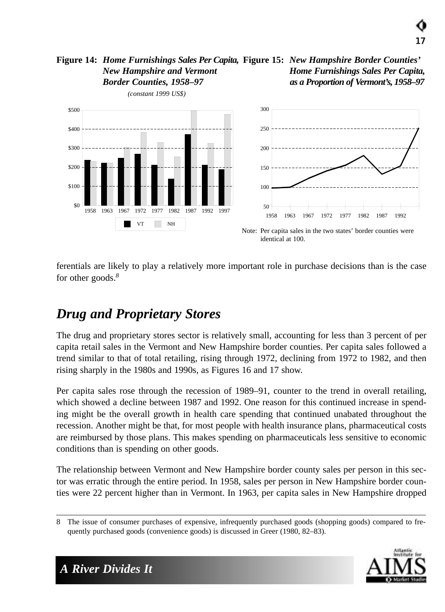#### **Figure 14:** *Home Furnishings Sales Per Capita,* **Figure 15:** *New Hampshire Border Counties' New Hampshire and Vermont Border Counties, 1958–97 Home Furnishings Sales Per Capita, as a Proportion of Vermont's, 1958–97*



ferentials are likely to play a relatively more important role in purchase decisions than is the case for other goods.*<sup>8</sup>*

## *Drug and Proprietary Stores*

The drug and proprietary stores sector is relatively small, accounting for less than 3 percent of per capita retail sales in the Vermont and New Hampshire border counties. Per capita sales followed a trend similar to that of total retailing, rising through 1972, declining from 1972 to 1982, and then rising sharply in the 1980s and 1990s, as Figures 16 and 17 show.

Per capita sales rose through the recession of 1989–91, counter to the trend in overall retailing, which showed a decline between 1987 and 1992. One reason for this continued increase in spending might be the overall growth in health care spending that continued unabated throughout the recession. Another might be that, for most people with health insurance plans, pharmaceutical costs are reimbursed by those plans. This makes spending on pharmaceuticals less sensitive to economic conditions than is spending on other goods.

The relationship between Vermont and New Hampshire border county sales per person in this sector was erratic through the entire period. In 1958, sales per person in New Hampshire border counties were 22 percent higher than in Vermont. In 1963, per capita sales in New Hampshire dropped

<sup>8</sup> The issue of consumer purchases of expensive, infrequently purchased goods (shopping goods) compared to frequently purchased goods (convenience goods) is discussed in Greer (1980, 82–83).



17

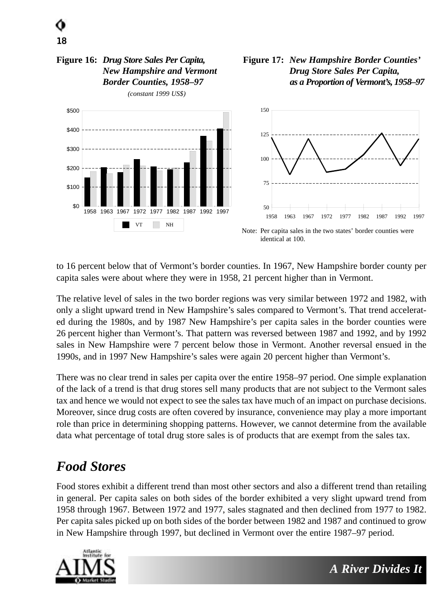#### **Figure 16:** *Drug Store Sales Per Capita, New Hampshire and Vermont Border Counties, 1958–97*

18



*(constant 1999 US\$)*

#### **Figure 17:** *New Hampshire Border Counties' Drug Store Sales Per Capita, as a Proportion of Vermont's, 1958–97*

to 16 percent below that of Vermont's border counties. In 1967, New Hampshire border county per

The relative level of sales in the two border regions was very similar between 1972 and 1982, with only a slight upward trend in New Hampshire's sales compared to Vermont's. That trend accelerated during the 1980s, and by 1987 New Hampshire's per capita sales in the border counties were 26 percent higher than Vermont's. That pattern was reversed between 1987 and 1992, and by 1992 sales in New Hampshire were 7 percent below those in Vermont. Another reversal ensued in the 1990s, and in 1997 New Hampshire's sales were again 20 percent higher than Vermont's.

capita sales were about where they were in 1958, 21 percent higher than in Vermont.

There was no clear trend in sales per capita over the entire 1958–97 period. One simple explanation of the lack of a trend is that drug stores sell many products that are not subject to the Vermont sales tax and hence we would not expect to see the sales tax have much of an impact on purchase decisions. Moreover, since drug costs are often covered by insurance, convenience may play a more important role than price in determining shopping patterns. However, we cannot determine from the available data what percentage of total drug store sales is of products that are exempt from the sales tax.

## *Food Stores*

Food stores exhibit a different trend than most other sectors and also a different trend than retailing in general. Per capita sales on both sides of the border exhibited a very slight upward trend from 1958 through 1967. Between 1972 and 1977, sales stagnated and then declined from 1977 to 1982. Per capita sales picked up on both sides of the border between 1982 and 1987 and continued to grow in New Hampshire through 1997, but declined in Vermont over the entire 1987–97 period.

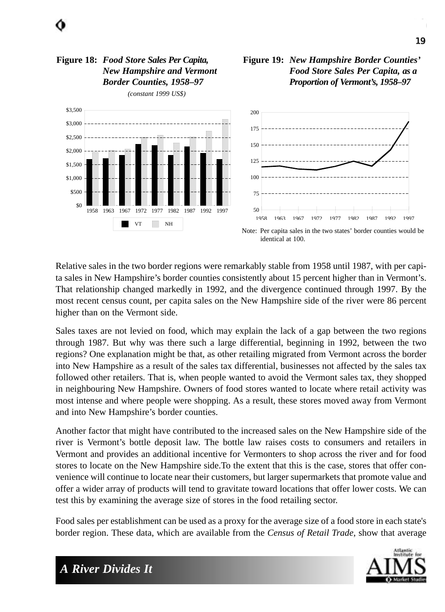

Relative sales in the two border regions were remarkably stable from 1958 until 1987, with per capita sales in New Hampshire's border counties consistently about 15 percent higher than in Vermont's. That relationship changed markedly in 1992, and the divergence continued through 1997. By the most recent census count, per capita sales on the New Hampshire side of the river were 86 percent higher than on the Vermont side.

Sales taxes are not levied on food, which may explain the lack of a gap between the two regions through 1987. But why was there such a large differential, beginning in 1992, between the two regions? One explanation might be that, as other retailing migrated from Vermont across the border into New Hampshire as a result of the sales tax differential, businesses not affected by the sales tax followed other retailers. That is, when people wanted to avoid the Vermont sales tax, they shopped in neighbouring New Hampshire. Owners of food stores wanted to locate where retail activity was most intense and where people were shopping. As a result, these stores moved away from Vermont and into New Hampshire's border counties.

Another factor that might have contributed to the increased sales on the New Hampshire side of the river is Vermont's bottle deposit law. The bottle law raises costs to consumers and retailers in Vermont and provides an additional incentive for Vermonters to shop across the river and for food stores to locate on the New Hampshire side.To the extent that this is the case, stores that offer convenience will continue to locate near their customers, but larger supermarkets that promote value and offer a wider array of products will tend to gravitate toward locations that offer lower costs. We can test this by examining the average size of stores in the food retailing sector.

Food sales per establishment can be used as a proxy for the average size of a food store in each state's border region. These data, which are available from the *Census of Retail Trade*, show that average

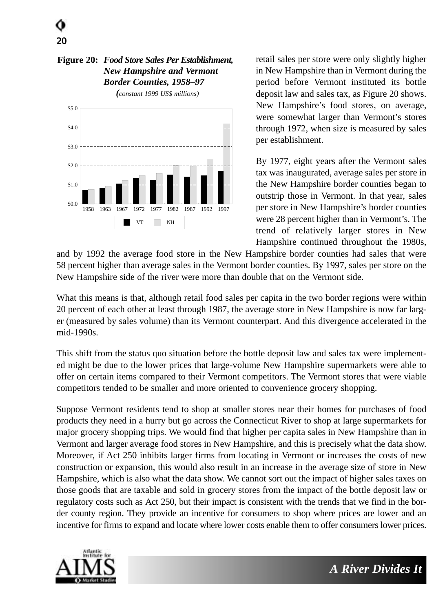#### **Figure 20:** *Food Store Sales Per Establishment, New Hampshire and Vermont Border Counties, 1958–97*

20



*(constant 1999 US\$ millions)*

retail sales per store were only slightly higher in New Hampshire than in Vermont during the period before Vermont instituted its bottle deposit law and sales tax, as Figure 20 shows. New Hampshire's food stores, on average, were somewhat larger than Vermont's stores through 1972, when size is measured by sales per establishment.

By 1977, eight years after the Vermont sales tax was inaugurated, average sales per store in the New Hampshire border counties began to outstrip those in Vermont. In that year, sales per store in New Hampshire's border counties were 28 percent higher than in Vermont's. The trend of relatively larger stores in New Hampshire continued throughout the 1980s,

and by 1992 the average food store in the New Hampshire border counties had sales that were 58 percent higher than average sales in the Vermont border counties. By 1997, sales per store on the New Hampshire side of the river were more than double that on the Vermont side.

What this means is that, although retail food sales per capita in the two border regions were within 20 percent of each other at least through 1987, the average store in New Hampshire is now far larger (measured by sales volume) than its Vermont counterpart. And this divergence accelerated in the mid-1990s.

This shift from the status quo situation before the bottle deposit law and sales tax were implemented might be due to the lower prices that large-volume New Hampshire supermarkets were able to offer on certain items compared to their Vermont competitors. The Vermont stores that were viable competitors tended to be smaller and more oriented to convenience grocery shopping.

Suppose Vermont residents tend to shop at smaller stores near their homes for purchases of food products they need in a hurry but go across the Connecticut River to shop at large supermarkets for major grocery shopping trips. We would find that higher per capita sales in New Hampshire than in Vermont and larger average food stores in New Hampshire, and this is precisely what the data show. Moreover, if Act 250 inhibits larger firms from locating in Vermont or increases the costs of new construction or expansion, this would also result in an increase in the average size of store in New Hampshire, which is also what the data show. We cannot sort out the impact of higher sales taxes on those goods that are taxable and sold in grocery stores from the impact of the bottle deposit law or regulatory costs such as Act 250, but their impact is consistent with the trends that we find in the border county region. They provide an incentive for consumers to shop where prices are lower and an incentive for firms to expand and locate where lower costs enable them to offer consumers lower prices.

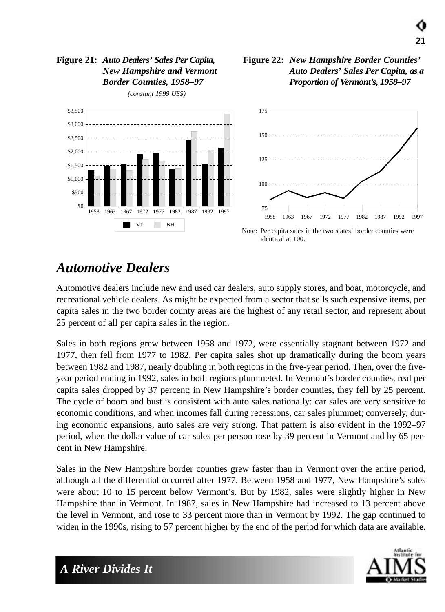#### **Figure 21:** *Auto Dealers' Sales Per Capita, New Hampshire and Vermont Border Counties, 1958–97*



*(constant 1999 US\$)*



21



Note: Per capita sales in the two states' border counties were identical at 100.

### *Automotive Dealers*

Automotive dealers include new and used car dealers, auto supply stores, and boat, motorcycle, and recreational vehicle dealers. As might be expected from a sector that sells such expensive items, per capita sales in the two border county areas are the highest of any retail sector, and represent about 25 percent of all per capita sales in the region.

Sales in both regions grew between 1958 and 1972, were essentially stagnant between 1972 and 1977, then fell from 1977 to 1982. Per capita sales shot up dramatically during the boom years between 1982 and 1987, nearly doubling in both regions in the five-year period. Then, over the fiveyear period ending in 1992, sales in both regions plummeted. In Vermont's border counties, real per capita sales dropped by 37 percent; in New Hampshire's border counties, they fell by 25 percent. The cycle of boom and bust is consistent with auto sales nationally: car sales are very sensitive to economic conditions, and when incomes fall during recessions, car sales plummet; conversely, during economic expansions, auto sales are very strong. That pattern is also evident in the 1992–97 period, when the dollar value of car sales per person rose by 39 percent in Vermont and by 65 percent in New Hampshire.

Sales in the New Hampshire border counties grew faster than in Vermont over the entire period, although all the differential occurred after 1977. Between 1958 and 1977, New Hampshire's sales were about 10 to 15 percent below Vermont's. But by 1982, sales were slightly higher in New Hampshire than in Vermont. In 1987, sales in New Hampshire had increased to 13 percent above the level in Vermont, and rose to 33 percent more than in Vermont by 1992. The gap continued to widen in the 1990s, rising to 57 percent higher by the end of the period for which data are available.

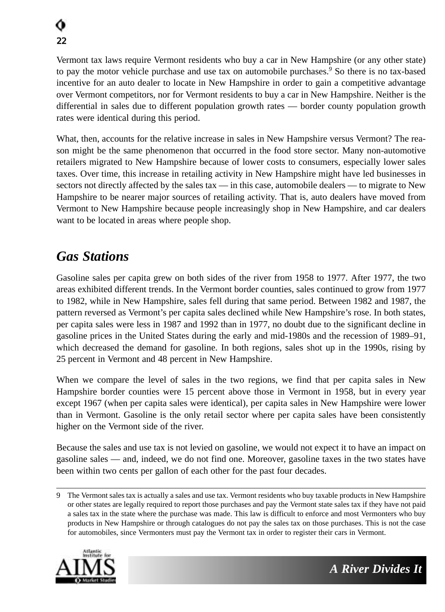Vermont tax laws require Vermont residents who buy a car in New Hampshire (or any other state) to pay the motor vehicle purchase and use tax on automobile purchases.*<sup>9</sup>* So there is no tax-based incentive for an auto dealer to locate in New Hampshire in order to gain a competitive advantage over Vermont competitors, nor for Vermont residents to buy a car in New Hampshire. Neither is the differential in sales due to different population growth rates — border county population growth rates were identical during this period.

What, then, accounts for the relative increase in sales in New Hampshire versus Vermont? The reason might be the same phenomenon that occurred in the food store sector. Many non-automotive retailers migrated to New Hampshire because of lower costs to consumers, especially lower sales taxes. Over time, this increase in retailing activity in New Hampshire might have led businesses in sectors not directly affected by the sales tax — in this case, automobile dealers — to migrate to New Hampshire to be nearer major sources of retailing activity. That is, auto dealers have moved from Vermont to New Hampshire because people increasingly shop in New Hampshire, and car dealers want to be located in areas where people shop.

## *Gas Stations*

Gasoline sales per capita grew on both sides of the river from 1958 to 1977. After 1977, the two areas exhibited different trends. In the Vermont border counties, sales continued to grow from 1977 to 1982, while in New Hampshire, sales fell during that same period. Between 1982 and 1987, the pattern reversed as Vermont's per capita sales declined while New Hampshire's rose. In both states, per capita sales were less in 1987 and 1992 than in 1977, no doubt due to the significant decline in gasoline prices in the United States during the early and mid-1980s and the recession of 1989–91, which decreased the demand for gasoline. In both regions, sales shot up in the 1990s, rising by 25 percent in Vermont and 48 percent in New Hampshire.

When we compare the level of sales in the two regions, we find that per capita sales in New Hampshire border counties were 15 percent above those in Vermont in 1958, but in every year except 1967 (when per capita sales were identical), per capita sales in New Hampshire were lower than in Vermont. Gasoline is the only retail sector where per capita sales have been consistently higher on the Vermont side of the river.

Because the sales and use tax is not levied on gasoline, we would not expect it to have an impact on gasoline sales — and, indeed, we do not find one. Moreover, gasoline taxes in the two states have been within two cents per gallon of each other for the past four decades.

<sup>9</sup> The Vermont sales tax is actually a sales and use tax. Vermont residents who buy taxable products in New Hampshire or other states are legally required to report those purchases and pay the Vermont state sales tax if they have not paid a sales tax in the state where the purchase was made. This law is difficult to enforce and most Vermonters who buy products in New Hampshire or through catalogues do not pay the sales tax on those purchases. This is not the case for automobiles, since Vermonters must pay the Vermont tax in order to register their cars in Vermont.

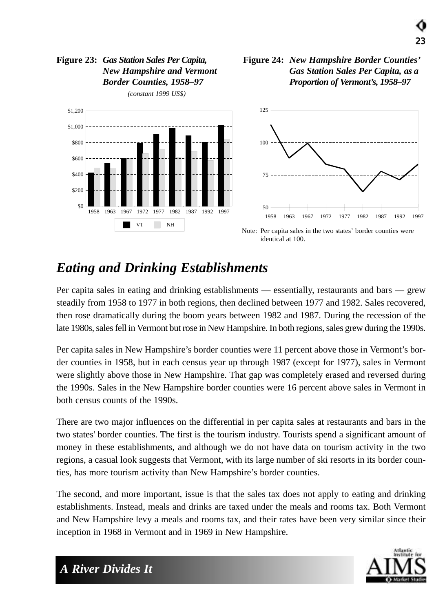#### **Figure 23:** *Gas Station Sales Per Capita, New Hampshire and Vermont Border Counties, 1958–97*



*(constant 1999 US\$)*

#### **Figure 24:** *New Hampshire Border Counties' Gas Station Sales Per Capita, as a Proportion of Vermont's, 1958–97*



Note: Per capita sales in the two states' border counties were identical at 100.

## *Eating and Drinking Establishments*

Per capita sales in eating and drinking establishments — essentially, restaurants and bars — grew steadily from 1958 to 1977 in both regions, then declined between 1977 and 1982. Sales recovered, then rose dramatically during the boom years between 1982 and 1987. During the recession of the late 1980s, sales fell in Vermont but rose in New Hampshire. In both regions, sales grew during the 1990s.

Per capita sales in New Hampshire's border counties were 11 percent above those in Vermont's border counties in 1958, but in each census year up through 1987 (except for 1977), sales in Vermont were slightly above those in New Hampshire. That gap was completely erased and reversed during the 1990s. Sales in the New Hampshire border counties were 16 percent above sales in Vermont in both census counts of the 1990s.

There are two major influences on the differential in per capita sales at restaurants and bars in the two states' border counties. The first is the tourism industry. Tourists spend a significant amount of money in these establishments, and although we do not have data on tourism activity in the two regions, a casual look suggests that Vermont, with its large number of ski resorts in its border counties, has more tourism activity than New Hampshire's border counties.

The second, and more important, issue is that the sales tax does not apply to eating and drinking establishments. Instead, meals and drinks are taxed under the meals and rooms tax. Both Vermont and New Hampshire levy a meals and rooms tax, and their rates have been very similar since their inception in 1968 in Vermont and in 1969 in New Hampshire.

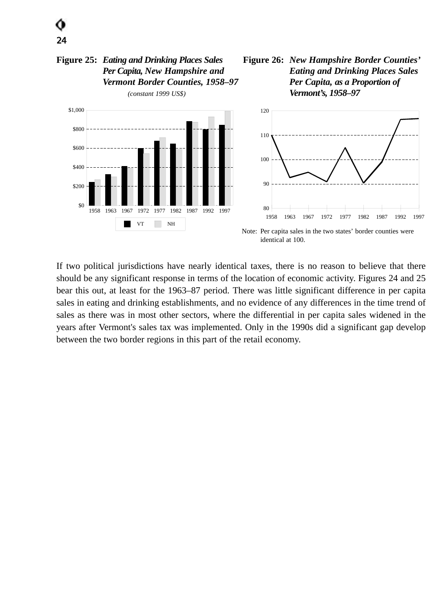

1958 1963 1967 1972 1977 1982 1987 1992 1997

VT NH

 $$0$ 

\$200

\$400

If two political jurisdictions have nearly identical taxes, there is no reason to believe that there should be any significant response in terms of the location of economic activity. Figures 24 and 25 bear this out, at least for the 1963–87 period. There was little significant difference in per capita sales in eating and drinking establishments, and no evidence of any differences in the time trend of sales as there was in most other sectors, where the differential in per capita sales widened in the years after Vermont's sales tax was implemented. Only in the 1990s did a significant gap develop between the two border regions in this part of the retail economy.

80

identical at 100.

90

100

1958 1963 1967 1972 1977 1982 1987 1992 1997

Note: Per capita sales in the two states' border counties were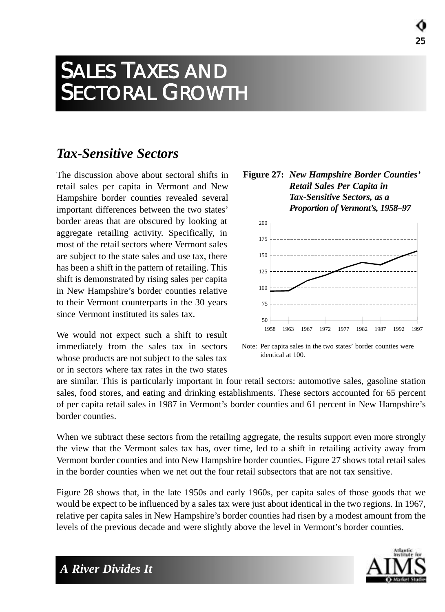## SALES TAXES AND SECTORAL GROWTH

### *Tax-Sensitive Sectors*

The discussion above about sectoral shifts in retail sales per capita in Vermont and New Hampshire border counties revealed several important differences between the two states' border areas that are obscured by looking at aggregate retailing activity. Specifically, in most of the retail sectors where Vermont sales are subject to the state sales and use tax, there has been a shift in the pattern of retailing. This shift is demonstrated by rising sales per capita in New Hampshire's border counties relative to their Vermont counterparts in the 30 years since Vermont instituted its sales tax.

We would not expect such a shift to result immediately from the sales tax in sectors whose products are not subject to the sales tax or in sectors where tax rates in the two states





Note: Per capita sales in the two states' border counties were identical at 100.

are similar. This is particularly important in four retail sectors: automotive sales, gasoline station sales, food stores, and eating and drinking establishments. These sectors accounted for 65 percent of per capita retail sales in 1987 in Vermont's border counties and 61 percent in New Hampshire's border counties.

When we subtract these sectors from the retailing aggregate, the results support even more strongly the view that the Vermont sales tax has, over time, led to a shift in retailing activity away from Vermont border counties and into New Hampshire border counties. Figure 27 shows total retail sales in the border counties when we net out the four retail subsectors that are not tax sensitive.

Figure 28 shows that, in the late 1950s and early 1960s, per capita sales of those goods that we would be expect to be influenced by a sales tax were just about identical in the two regions. In 1967, relative per capita sales in New Hampshire's border counties had risen by a modest amount from the levels of the previous decade and were slightly above the level in Vermont's border counties.

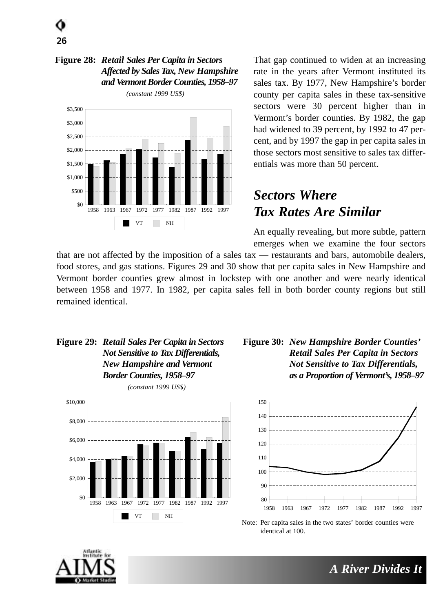# 26

#### **Figure 28:** *Retail Sales Per Capita in Sectors Affected by Sales Tax, New Hampshire and Vermont Border Counties, 1958–97*



That gap continued to widen at an increasing rate in the years after Vermont instituted its sales tax. By 1977, New Hampshire's border county per capita sales in these tax-sensitive sectors were 30 percent higher than in Vermont's border counties. By 1982, the gap had widened to 39 percent, by 1992 to 47 percent, and by 1997 the gap in per capita sales in those sectors most sensitive to sales tax differentials was more than 50 percent.

## *Sectors Where Tax Rates Are Similar*

An equally revealing, but more subtle, pattern emerges when we examine the four sectors

that are not affected by the imposition of a sales tax — restaurants and bars, automobile dealers, food stores, and gas stations. Figures 29 and 30 show that per capita sales in New Hampshire and Vermont border counties grew almost in lockstep with one another and were nearly identical between 1958 and 1977. In 1982, per capita sales fell in both border county regions but still remained identical.

#### **Figure 29:** *Retail Sales Per Capita in Sectors Not Sensitive to Tax Differentials, New Hampshire and Vermont Border Counties, 1958–97*



#### **Figure 30:** *New Hampshire Border Counties' Retail Sales Per Capita in Sectors Not Sensitive to Tax Differentials, as a Proportion of Vermont's, 1958–97*



Note: Per capita sales in the two states' border counties were identical at 100.

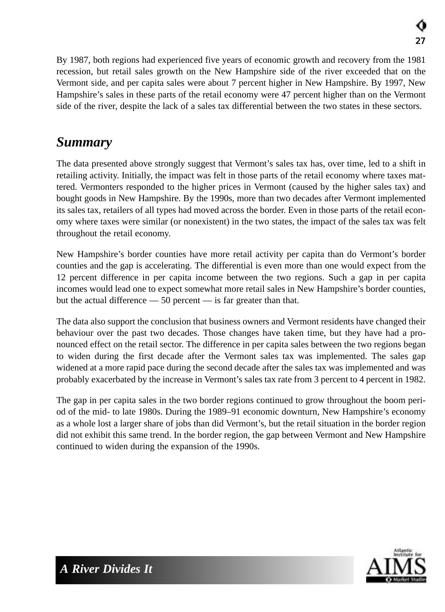By 1987, both regions had experienced five years of economic growth and recovery from the 1981 recession, but retail sales growth on the New Hampshire side of the river exceeded that on the Vermont side, and per capita sales were about 7 percent higher in New Hampshire. By 1997, New Hampshire's sales in these parts of the retail economy were 47 percent higher than on the Vermont side of the river, despite the lack of a sales tax differential between the two states in these sectors.

## *Summary*

The data presented above strongly suggest that Vermont's sales tax has, over time, led to a shift in retailing activity. Initially, the impact was felt in those parts of the retail economy where taxes mattered. Vermonters responded to the higher prices in Vermont (caused by the higher sales tax) and bought goods in New Hampshire. By the 1990s, more than two decades after Vermont implemented its sales tax, retailers of all types had moved across the border. Even in those parts of the retail economy where taxes were similar (or nonexistent) in the two states, the impact of the sales tax was felt throughout the retail economy.

New Hampshire's border counties have more retail activity per capita than do Vermont's border counties and the gap is accelerating. The differential is even more than one would expect from the 12 percent difference in per capita income between the two regions. Such a gap in per capita incomes would lead one to expect somewhat more retail sales in New Hampshire's border counties, but the actual difference — 50 percent — is far greater than that.

The data also support the conclusion that business owners and Vermont residents have changed their behaviour over the past two decades. Those changes have taken time, but they have had a pronounced effect on the retail sector. The difference in per capita sales between the two regions began to widen during the first decade after the Vermont sales tax was implemented. The sales gap widened at a more rapid pace during the second decade after the sales tax was implemented and was probably exacerbated by the increase in Vermont's sales tax rate from 3 percent to 4 percent in 1982.

The gap in per capita sales in the two border regions continued to grow throughout the boom period of the mid- to late 1980s. During the 1989–91 economic downturn, New Hampshire's economy as a whole lost a larger share of jobs than did Vermont's, but the retail situation in the border region did not exhibit this same trend. In the border region, the gap between Vermont and New Hampshire continued to widen during the expansion of the 1990s.

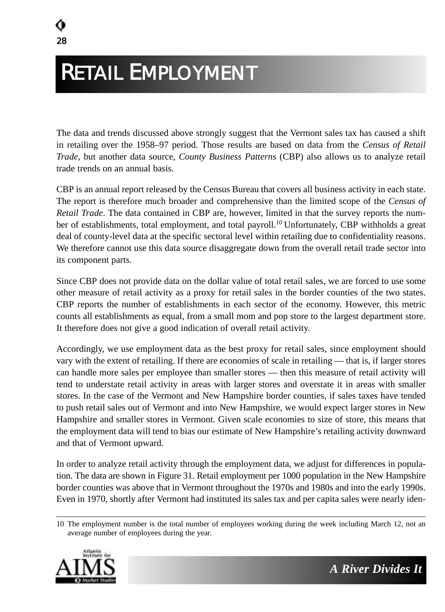# RETAIL EMPLOYMENT

The data and trends discussed above strongly suggest that the Vermont sales tax has caused a shift in retailing over the 1958–97 period. Those results are based on data from the *Census of Retail Trade*, but another data source, *County Business Patterns* (CBP) also allows us to analyze retail trade trends on an annual basis.

CBP is an annual report released by the Census Bureau that covers all business activity in each state. The report is therefore much broader and comprehensive than the limited scope of the *Census of Retail Trade*. The data contained in CBP are, however, limited in that the survey reports the number of establishments, total employment, and total payroll.<sup>10</sup> Unfortunately, CBP withholds a great deal of county-level data at the specific sectoral level within retailing due to confidentiality reasons. We therefore cannot use this data source disaggregate down from the overall retail trade sector into its component parts.

Since CBP does not provide data on the dollar value of total retail sales, we are forced to use some other measure of retail activity as a proxy for retail sales in the border counties of the two states. CBP reports the number of establishments in each sector of the economy. However, this metric counts all establishments as equal, from a small mom and pop store to the largest department store. It therefore does not give a good indication of overall retail activity.

Accordingly, we use employment data as the best proxy for retail sales, since employment should vary with the extent of retailing. If there are economies of scale in retailing — that is, if larger stores can handle more sales per employee than smaller stores — then this measure of retail activity will tend to understate retail activity in areas with larger stores and overstate it in areas with smaller stores. In the case of the Vermont and New Hampshire border counties, if sales taxes have tended to push retail sales out of Vermont and into New Hampshire, we would expect larger stores in New Hampshire and smaller stores in Vermont. Given scale economies to size of store, this means that the employment data will tend to bias our estimate of New Hampshire's retailing activity downward and that of Vermont upward.

In order to analyze retail activity through the employment data, we adjust for differences in population. The data are shown in Figure 31. Retail employment per 1000 population in the New Hampshire border counties was above that in Vermont throughout the 1970s and 1980s and into the early 1990s. Even in 1970, shortly after Vermont had instituted its sales tax and per capita sales were nearly iden-

<sup>10</sup> The employment number is the total number of employees working during the week including March 12, not an average number of employees during the year.

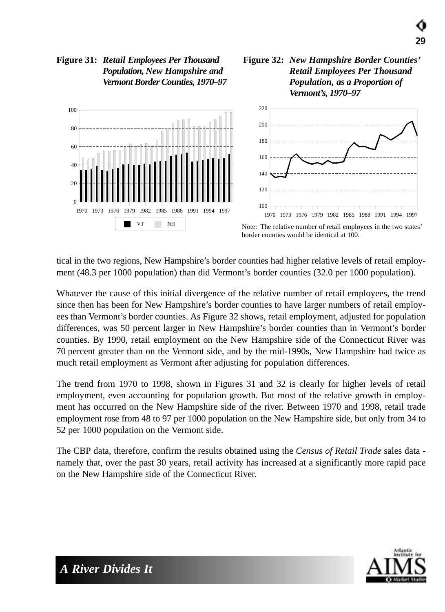

#### **Figure 31:** *Retail Employees Per Thousand Population, New Hampshire and Vermont Border Counties, 1970–97*

tical in the two regions, New Hampshire's border counties had higher relative levels of retail employment (48.3 per 1000 population) than did Vermont's border counties (32.0 per 1000 population).

Whatever the cause of this initial divergence of the relative number of retail employees, the trend since then has been for New Hampshire's border counties to have larger numbers of retail employees than Vermont's border counties. As Figure 32 shows, retail employment, adjusted for population differences, was 50 percent larger in New Hampshire's border counties than in Vermont's border counties. By 1990, retail employment on the New Hampshire side of the Connecticut River was 70 percent greater than on the Vermont side, and by the mid-1990s, New Hampshire had twice as much retail employment as Vermont after adjusting for population differences.

The trend from 1970 to 1998, shown in Figures 31 and 32 is clearly for higher levels of retail employment, even accounting for population growth. But most of the relative growth in employment has occurred on the New Hampshire side of the river. Between 1970 and 1998, retail trade employment rose from 48 to 97 per 1000 population on the New Hampshire side, but only from 34 to 52 per 1000 population on the Vermont side.

The CBP data, therefore, confirm the results obtained using the *Census of Retail Trade* sales data namely that, over the past 30 years, retail activity has increased at a significantly more rapid pace on the New Hampshire side of the Connecticut River.



29

**Figure 32:** *New Hampshire Border Counties'*

*Retail Employees Per Thousand Population, as a Proportion of*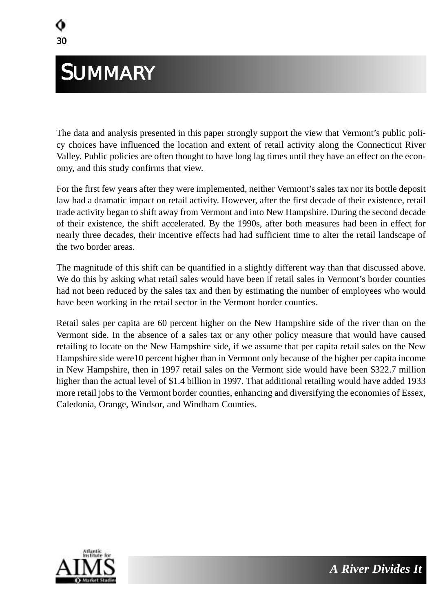## **SUMMARY**

The data and analysis presented in this paper strongly support the view that Vermont's public policy choices have influenced the location and extent of retail activity along the Connecticut River Valley. Public policies are often thought to have long lag times until they have an effect on the economy, and this study confirms that view.

For the first few years after they were implemented, neither Vermont's sales tax nor its bottle deposit law had a dramatic impact on retail activity. However, after the first decade of their existence, retail trade activity began to shift away from Vermont and into New Hampshire. During the second decade of their existence, the shift accelerated. By the 1990s, after both measures had been in effect for nearly three decades, their incentive effects had had sufficient time to alter the retail landscape of the two border areas.

The magnitude of this shift can be quantified in a slightly different way than that discussed above. We do this by asking what retail sales would have been if retail sales in Vermont's border counties had not been reduced by the sales tax and then by estimating the number of employees who would have been working in the retail sector in the Vermont border counties.

Retail sales per capita are 60 percent higher on the New Hampshire side of the river than on the Vermont side. In the absence of a sales tax or any other policy measure that would have caused retailing to locate on the New Hampshire side, if we assume that per capita retail sales on the New Hampshire side were10 percent higher than in Vermont only because of the higher per capita income in New Hampshire, then in 1997 retail sales on the Vermont side would have been \$322.7 million higher than the actual level of \$1.4 billion in 1997. That additional retailing would have added 1933 more retail jobs to the Vermont border counties, enhancing and diversifying the economies of Essex, Caledonia, Orange, Windsor, and Windham Counties.

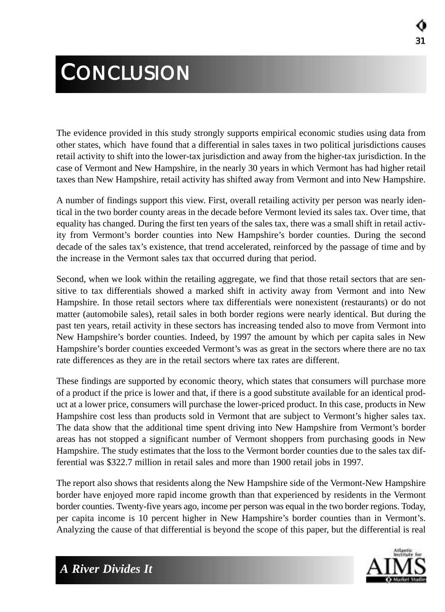# **CONCLUSION**

The evidence provided in this study strongly supports empirical economic studies using data from other states, which have found that a differential in sales taxes in two political jurisdictions causes retail activity to shift into the lower-tax jurisdiction and away from the higher-tax jurisdiction. In the case of Vermont and New Hampshire, in the nearly 30 years in which Vermont has had higher retail taxes than New Hampshire, retail activity has shifted away from Vermont and into New Hampshire.

A number of findings support this view. First, overall retailing activity per person was nearly identical in the two border county areas in the decade before Vermont levied its sales tax. Over time, that equality has changed. During the first ten years of the sales tax, there was a small shift in retail activity from Vermont's border counties into New Hampshire's border counties. During the second decade of the sales tax's existence, that trend accelerated, reinforced by the passage of time and by the increase in the Vermont sales tax that occurred during that period.

Second, when we look within the retailing aggregate, we find that those retail sectors that are sensitive to tax differentials showed a marked shift in activity away from Vermont and into New Hampshire. In those retail sectors where tax differentials were nonexistent (restaurants) or do not matter (automobile sales), retail sales in both border regions were nearly identical. But during the past ten years, retail activity in these sectors has increasing tended also to move from Vermont into New Hampshire's border counties. Indeed, by 1997 the amount by which per capita sales in New Hampshire's border counties exceeded Vermont's was as great in the sectors where there are no tax rate differences as they are in the retail sectors where tax rates are different.

These findings are supported by economic theory, which states that consumers will purchase more of a product if the price is lower and that, if there is a good substitute available for an identical product at a lower price, consumers will purchase the lower-priced product. In this case, products in New Hampshire cost less than products sold in Vermont that are subject to Vermont's higher sales tax. The data show that the additional time spent driving into New Hampshire from Vermont's border areas has not stopped a significant number of Vermont shoppers from purchasing goods in New Hampshire. The study estimates that the loss to the Vermont border counties due to the sales tax differential was \$322.7 million in retail sales and more than 1900 retail jobs in 1997.

The report also shows that residents along the New Hampshire side of the Vermont-New Hampshire border have enjoyed more rapid income growth than that experienced by residents in the Vermont border counties. Twenty-five years ago, income per person was equal in the two border regions. Today, per capita income is 10 percent higher in New Hampshire's border counties than in Vermont's. Analyzing the cause of that differential is beyond the scope of this paper, but the differential is real

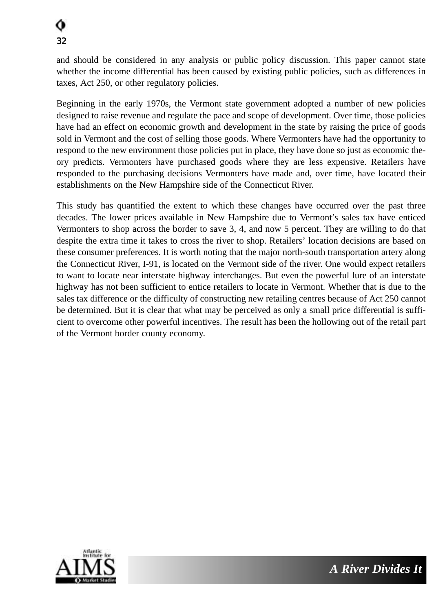and should be considered in any analysis or public policy discussion. This paper cannot state whether the income differential has been caused by existing public policies, such as differences in taxes, Act 250, or other regulatory policies.

Beginning in the early 1970s, the Vermont state government adopted a number of new policies designed to raise revenue and regulate the pace and scope of development. Over time, those policies have had an effect on economic growth and development in the state by raising the price of goods sold in Vermont and the cost of selling those goods. Where Vermonters have had the opportunity to respond to the new environment those policies put in place, they have done so just as economic theory predicts. Vermonters have purchased goods where they are less expensive. Retailers have responded to the purchasing decisions Vermonters have made and, over time, have located their establishments on the New Hampshire side of the Connecticut River.

This study has quantified the extent to which these changes have occurred over the past three decades. The lower prices available in New Hampshire due to Vermont's sales tax have enticed Vermonters to shop across the border to save 3, 4, and now 5 percent. They are willing to do that despite the extra time it takes to cross the river to shop. Retailers' location decisions are based on these consumer preferences. It is worth noting that the major north-south transportation artery along the Connecticut River, I-91, is located on the Vermont side of the river. One would expect retailers to want to locate near interstate highway interchanges. But even the powerful lure of an interstate highway has not been sufficient to entice retailers to locate in Vermont. Whether that is due to the sales tax difference or the difficulty of constructing new retailing centres because of Act 250 cannot be determined. But it is clear that what may be perceived as only a small price differential is sufficient to overcome other powerful incentives. The result has been the hollowing out of the retail part of the Vermont border county economy.

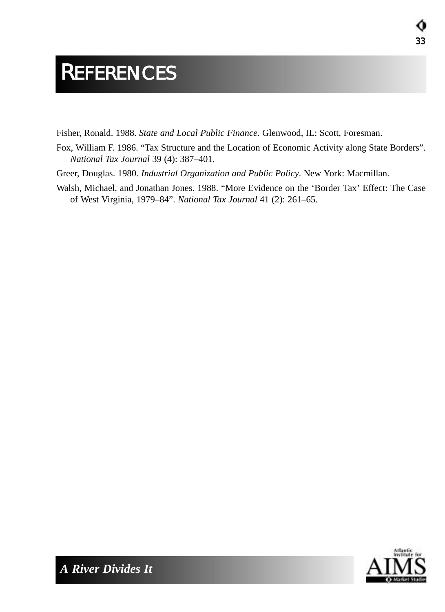## **REFERENCES**

Fisher, Ronald. 1988. *State and Local Public Finance*. Glenwood, IL: Scott, Foresman.

- Fox, William F. 1986. "Tax Structure and the Location of Economic Activity along State Borders". *National Tax Journal* 39 (4): 387–401.
- Greer, Douglas. 1980. *Industrial Organization and Public Policy*. New York: Macmillan.
- Walsh, Michael, and Jonathan Jones. 1988. "More Evidence on the 'Border Tax' Effect: The Case of West Virginia, 1979–84". *National Tax Journal* 41 (2): 261–65.



33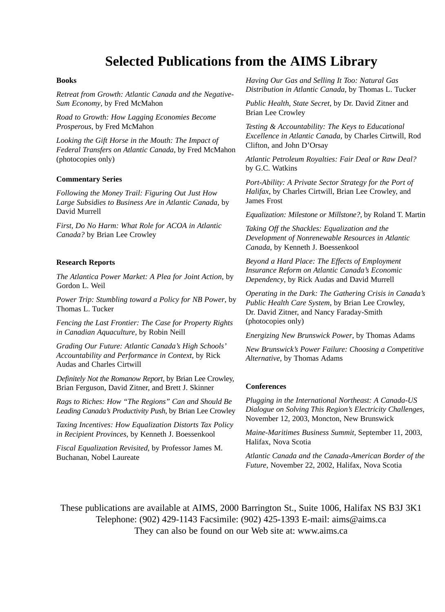### **Selected Publications from the AIMS Library**

#### **Books**

*Retreat from Growth: Atlantic Canada and the Negative-Sum Economy*, by Fred McMahon

*Road to Growth: How Lagging Economies Become Prosperous*, by Fred McMahon

*Looking the Gift Horse in the Mouth: The Impact of Federal Transfers on Atlantic Canada*, by Fred McMahon (photocopies only)

#### **Commentary Series**

*Following the Money Trail: Figuring Out Just How Large Subsidies to Business Are in Atlantic Canada*, by David Murrell

*First, Do No Harm: What Role for ACOA in Atlantic Canada?* by Brian Lee Crowley

#### **Research Reports**

*The Atlantica Power Market: A Plea for Joint Action*, by Gordon L. Weil

*Power Trip: Stumbling toward a Policy for NB Power*, by Thomas L. Tucker

*Fencing the Last Frontier: The Case for Property Rights in Canadian Aquaculture*, by Robin Neill

*Grading Our Future: Atlantic Canada's High Schools' Accountability and Performance in Context*, by Rick Audas and Charles Cirtwill

*Definitely Not the Romanow Report*, by Brian Lee Crowley, Brian Ferguson, David Zitner, and Brett J. Skinner

*Rags to Riches: How "The Regions" Can and Should Be Leading Canada's Productivity Push*, by Brian Lee Crowley

*Taxing Incentives: How Equalization Distorts Tax Policy in Recipient Provinces*, by Kenneth J. Boessenkool

*Fiscal Equalization Revisited*, by Professor James M. Buchanan, Nobel Laureate

*Having Our Gas and Selling It Too: Natural Gas Distribution in Atlantic Canada*, by Thomas L. Tucker

*Public Health, State Secret*, by Dr. David Zitner and Brian Lee Crowley

*Testing & Accountability: The Keys to Educational Excellence in Atlantic Canada*, by Charles Cirtwill, Rod Clifton, and John D'Orsay

*Atlantic Petroleum Royalties: Fair Deal or Raw Deal?* by G.C. Watkins

*Port-Ability: A Private Sector Strategy for the Port of Halifax*, by Charles Cirtwill, Brian Lee Crowley, and James Frost

*Equalization: Milestone or Millstone?*, by Roland T. Martin

*Taking Off the Shackles: Equalization and the Development of Nonrenewable Resources in Atlantic Canada*, by Kenneth J. Boessenkool

*Beyond a Hard Place: The Effects of Employment Insurance Reform on Atlantic Canada's Economic Dependency*, by Rick Audas and David Murrell

*Operating in the Dark: The Gathering Crisis in Canada's Public Health Care System*, by Brian Lee Crowley, Dr. David Zitner, and Nancy Faraday-Smith (photocopies only)

*Energizing New Brunswick Power*, by Thomas Adams

*New Brunswick's Power Failure: Choosing a Competitive Alternative*, by Thomas Adams

#### **Conferences**

*Plugging in the International Northeast: A Canada-US Dialogue on Solving This Region's Electricity Challenges,* November 12, 2003, Moncton, New Brunswick

*Maine-Maritimes Business Summit,* September 11, 2003, Halifax, Nova Scotia

*Atlantic Canada and the Canada-American Border of the Future*, November 22, 2002, Halifax, Nova Scotia

These publications are available at AIMS, 2000 Barrington St., Suite 1006, Halifax NS B3J 3K1 Telephone: (902) 429-1143 Facsimile: (902) 425-1393 E-mail: aims@aims.ca They can also be found on our Web site at: www.aims.ca